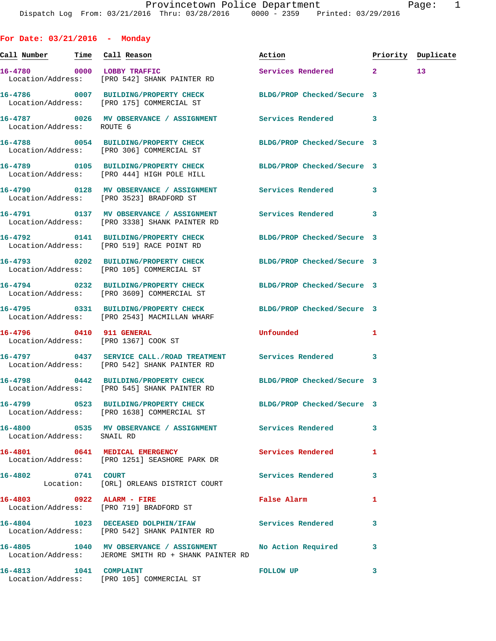**For Date: 03/21/2016 - Monday Call Number Time Call Reason Action Priority Duplicate 16-4780 0000 LOBBY TRAFFIC Services Rendered 2 13**  Location/Address: [PRO 542] SHANK PAINTER RD **16-4786 0007 BUILDING/PROPERTY CHECK BLDG/PROP Checked/Secure 3**  Location/Address: [PRO 175] COMMERCIAL ST **16-4787 0026 MV OBSERVANCE / ASSIGNMENT Services Rendered 3**  Location/Address: ROUTE 6 **16-4788 0054 BUILDING/PROPERTY CHECK BLDG/PROP Checked/Secure 3**  Location/Address: [PRO 306] COMMERCIAL ST **16-4789 0105 BUILDING/PROPERTY CHECK BLDG/PROP Checked/Secure 3**  Location/Address: [PRO 444] HIGH POLE HILL **16-4790 0128 MV OBSERVANCE / ASSIGNMENT Services Rendered 3**  Location/Address: [PRO 3523] BRADFORD ST **16-4791 0137 MV OBSERVANCE / ASSIGNMENT Services Rendered 3**  Location/Address: [PRO 3338] SHANK PAINTER RD **16-4792 0141 BUILDING/PROPERTY CHECK BLDG/PROP Checked/Secure 3**  Location/Address: [PRO 519] RACE POINT RD **16-4793 0202 BUILDING/PROPERTY CHECK BLDG/PROP Checked/Secure 3**  Location/Address: [PRO 105] COMMERCIAL ST **16-4794 0232 BUILDING/PROPERTY CHECK BLDG/PROP Checked/Secure 3**  Location/Address: [PRO 3609] COMMERCIAL ST **16-4795 0331 BUILDING/PROPERTY CHECK BLDG/PROP Checked/Secure 3**  Location/Address: [PRO 2543] MACMILLAN WHARF **16-4796 0410 911 GENERAL Unfounded 1**  Location/Address: [PRO 1367] COOK ST **16-4797 0437 SERVICE CALL./ROAD TREATMENT Services Rendered 3**  Location/Address: [PRO 542] SHANK PAINTER RD **16-4798 0442 BUILDING/PROPERTY CHECK BLDG/PROP Checked/Secure 3**  Location/Address: [PRO 545] SHANK PAINTER RD **16-4799 0523 BUILDING/PROPERTY CHECK BLDG/PROP Checked/Secure 3**  Location/Address: [PRO 1638] COMMERCIAL ST **16-4800 0535 MV OBSERVANCE / ASSIGNMENT Services Rendered 3**  Location/Address: SNAIL RD **16-4801 0641 MEDICAL EMERGENCY Services Rendered 1**  Location/Address: [PRO 1251] SEASHORE PARK DR **16-4802 0741 COURT Services Rendered 3**  Location: [ORL] ORLEANS DISTRICT COURT **16-4803 0922 ALARM - FIRE False Alarm 1**  Location/Address: [PRO 719] BRADFORD ST **16-4804 1023 DECEASED DOLPHIN/IFAW Services Rendered 3**  Location/Address: [PRO 542] SHANK PAINTER RD **16-4805 1040 MV OBSERVANCE / ASSIGNMENT No Action Required 3**  Location/Address: JEROME SMITH RD + SHANK PAINTER RD

**16-4813 1041 COMPLAINT FOLLOW UP 3**  Location/Address: [PRO 105] COMMERCIAL ST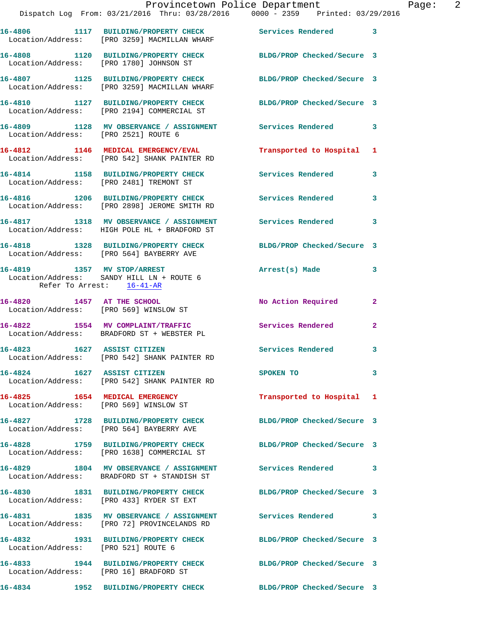|                                     | Dispatch Log From: 03/21/2016 Thru: 03/28/2016   0000 - 2359   Printed: 03/29/2016                              | Provincetown Police Department           | Page: 2 |
|-------------------------------------|-----------------------------------------------------------------------------------------------------------------|------------------------------------------|---------|
|                                     | 16-4806 1117 BUILDING/PROPERTY CHECK Services Rendered 3<br>Location/Address: [PRO 3259] MACMILLAN WHARF        |                                          |         |
|                                     | 16-4808 1120 BUILDING/PROPERTY CHECK BLDG/PROP Checked/Secure 3<br>Location/Address: [PRO 1780] JOHNSON ST      |                                          |         |
|                                     | 16-4807 1125 BUILDING/PROPERTY CHECK BLDG/PROP Checked/Secure 3<br>Location/Address: [PRO 3259] MACMILLAN WHARF |                                          |         |
|                                     | 16-4810 1127 BUILDING/PROPERTY CHECK BLDG/PROP Checked/Secure 3<br>Location/Address: [PRO 2194] COMMERCIAL ST   |                                          |         |
|                                     | 16-4809 1128 MV OBSERVANCE / ASSIGNMENT Services Rendered<br>Location/Address: [PRO 2521] ROUTE 6               | $\mathbf{3}$                             |         |
|                                     | 16-4812 1146 MEDICAL EMERGENCY/EVAL<br>Location/Address: [PRO 542] SHANK PAINTER RD                             | Transported to Hospital 1                |         |
|                                     | 16-4814 1158 BUILDING/PROPERTY CHECK<br>Location/Address: [PRO 2481] TREMONT ST                                 | Services Rendered<br>3                   |         |
|                                     | 16-4816 1206 BUILDING/PROPERTY CHECK Services Rendered<br>Location/Address: [PRO 2898] JEROME SMITH RD          | 3                                        |         |
|                                     | 16-4817 1318 MV OBSERVANCE / ASSIGNMENT Services Rendered 3<br>Location/Address: HIGH POLE HL + BRADFORD ST     |                                          |         |
|                                     | 16-4818 1328 BUILDING/PROPERTY CHECK BLDG/PROP Checked/Secure 3<br>Location/Address: [PRO 564] BAYBERRY AVE     |                                          |         |
| Refer To Arrest: 16-41-AR           | 16-4819 1357 MV STOP/ARREST<br>Location/Address: SANDY HILL LN + ROUTE 6                                        | Arrest(s) Made<br>3                      |         |
|                                     | 16-4820 1457 AT THE SCHOOL<br>Location/Address: [PRO 569] WINSLOW ST                                            | No Action Required<br>$\mathbf{2}$       |         |
|                                     | 16-4822 1554 MV COMPLAINT/TRAFFIC<br>Location/Address: BRADFORD ST + WEBSTER PL                                 | <b>Services Rendered</b><br>$\mathbf{2}$ |         |
|                                     | 16-4823 1627 ASSIST CITIZEN<br>Location/Address: [PRO 542] SHANK PAINTER RD                                     | Services Rendered<br>3                   |         |
| 16-4824 1627 ASSIST CITIZEN         | Location/Address: [PRO 542] SHANK PAINTER RD                                                                    | 3<br>SPOKEN TO                           |         |
|                                     | 16-4825 1654 MEDICAL EMERGENCY<br>Location/Address: [PRO 569] WINSLOW ST                                        | Transported to Hospital 1                |         |
|                                     | 16-4827 1728 BUILDING/PROPERTY CHECK<br>Location/Address: [PRO 564] BAYBERRY AVE                                | BLDG/PROP Checked/Secure 3               |         |
|                                     | 16-4828 1759 BUILDING/PROPERTY CHECK<br>Location/Address: [PRO 1638] COMMERCIAL ST                              | BLDG/PROP Checked/Secure 3               |         |
|                                     | 16-4829 1804 MV OBSERVANCE / ASSIGNMENT<br>Location/Address: BRADFORD ST + STANDISH ST                          | Services Rendered 3                      |         |
|                                     | 16-4830 1831 BUILDING/PROPERTY CHECK<br>Location/Address: [PRO 433] RYDER ST EXT                                | BLDG/PROP Checked/Secure 3               |         |
|                                     | 16-4831 1835 MV OBSERVANCE / ASSIGNMENT<br>Location/Address: [PRO 72] PROVINCELANDS RD                          | Services Rendered 3                      |         |
| Location/Address: [PRO 521] ROUTE 6 | 16-4832 1931 BUILDING/PROPERTY CHECK                                                                            | BLDG/PROP Checked/Secure 3               |         |
|                                     | 16-4833 1944 BUILDING/PROPERTY CHECK<br>Location/Address: [PRO 16] BRADFORD ST                                  | BLDG/PROP Checked/Secure 3               |         |
| 16-4834                             | 1952 BUILDING/PROPERTY CHECK BLDG/PROP Checked/Secure 3                                                         |                                          |         |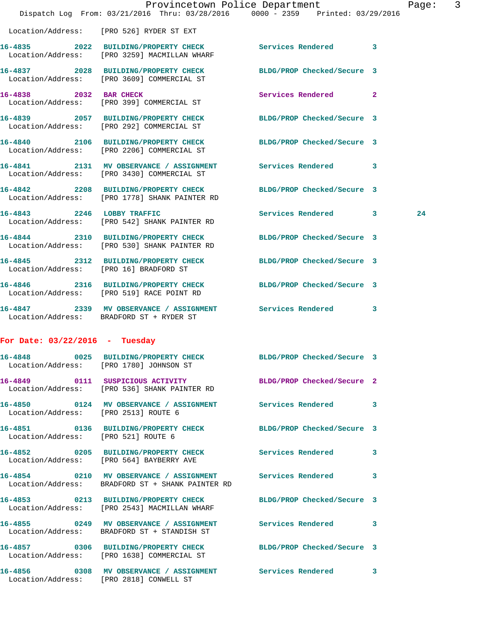|                                      | Dispatch Log From: 03/21/2016 Thru: 03/28/2016 0000 - 2359 Printed: 03/29/2016                                  | Provincetown Police Department |              | Page: | $\overline{3}$ |
|--------------------------------------|-----------------------------------------------------------------------------------------------------------------|--------------------------------|--------------|-------|----------------|
|                                      | Location/Address: [PRO 526] RYDER ST EXT                                                                        |                                |              |       |                |
|                                      | 16-4835 2022 BUILDING/PROPERTY CHECK<br>Location/Address: [PRO 3259] MACMILLAN WHARF                            | Services Rendered              | 3            |       |                |
|                                      | 16-4837 2028 BUILDING/PROPERTY CHECK<br>Location/Address: [PRO 3609] COMMERCIAL ST                              | BLDG/PROP Checked/Secure 3     |              |       |                |
| 16-4838 2032 BAR CHECK               | Location/Address: [PRO 399] COMMERCIAL ST                                                                       | Services Rendered              | $\mathbf{2}$ |       |                |
|                                      | 16-4839 2057 BUILDING/PROPERTY CHECK<br>Location/Address: [PRO 292] COMMERCIAL ST                               | BLDG/PROP Checked/Secure 3     |              |       |                |
|                                      | 16-4840 2106 BUILDING/PROPERTY CHECK BLDG/PROP Checked/Secure 3<br>Location/Address: [PRO 2206] COMMERCIAL ST   |                                |              |       |                |
|                                      | 16-4841 2131 MV OBSERVANCE / ASSIGNMENT Services Rendered<br>Location/Address: [PRO 3430] COMMERCIAL ST         |                                | 3            |       |                |
|                                      | 16-4842 2208 BUILDING/PROPERTY CHECK<br>Location/Address: [PRO 1778] SHANK PAINTER RD                           | BLDG/PROP Checked/Secure 3     |              |       |                |
|                                      | 16-4843 2246 LOBBY TRAFFIC<br>Location/Address: [PRO 542] SHANK PAINTER RD                                      | Services Rendered 3            |              | 24    |                |
|                                      | 16-4844 2310 BUILDING/PROPERTY CHECK<br>Location/Address: [PRO 530] SHANK PAINTER RD                            | BLDG/PROP Checked/Secure 3     |              |       |                |
|                                      | 16-4845 2312 BUILDING/PROPERTY CHECK BLDG/PROP Checked/Secure 3<br>Location/Address: [PRO 16] BRADFORD ST       |                                |              |       |                |
|                                      | 16-4846 2316 BUILDING/PROPERTY CHECK<br>Location/Address: [PRO 519] RACE POINT RD                               | BLDG/PROP Checked/Secure 3     |              |       |                |
|                                      | 16-4847 2339 MV OBSERVANCE / ASSIGNMENT Services Rendered<br>Location/Address: BRADFORD ST + RYDER ST           |                                | 3            |       |                |
| For Date: $03/22/2016$ - Tuesday     |                                                                                                                 |                                |              |       |                |
|                                      | 16-4848 0025 BUILDING/PROPERTY CHECK BLDG/PROP Checked/Secure 3<br>Location/Address: [PRO 1780] JOHNSON ST      |                                |              |       |                |
|                                      | 16-4849 0111 SUSPICIOUS ACTIVITY BLDG/PROP Checked/Secure 2<br>Location/Address: [PRO 536] SHANK PAINTER RD     |                                |              |       |                |
| Location/Address: [PRO 2513] ROUTE 6 | 16-4850 0124 MV OBSERVANCE / ASSIGNMENT Services Rendered                                                       |                                | 3            |       |                |
| Location/Address: [PRO 521] ROUTE 6  | 16-4851 0136 BUILDING/PROPERTY CHECK BLDG/PROP Checked/Secure 3                                                 |                                |              |       |                |
|                                      | 16-4852 0205 BUILDING/PROPERTY CHECK Services Rendered<br>Location/Address: [PRO 564] BAYBERRY AVE              |                                | 3            |       |                |
|                                      | 16-4854 0210 MV OBSERVANCE / ASSIGNMENT Services Rendered<br>Location/Address: BRADFORD ST + SHANK PAINTER RD   |                                | 3            |       |                |
|                                      | 16-4853 0213 BUILDING/PROPERTY CHECK BLDG/PROP Checked/Secure 3<br>Location/Address: [PRO 2543] MACMILLAN WHARF |                                |              |       |                |
|                                      | 16-4855 0249 MV OBSERVANCE / ASSIGNMENT Services Rendered<br>Location/Address: BRADFORD ST + STANDISH ST        |                                | 3            |       |                |
|                                      | 16-4857 0306 BUILDING/PROPERTY CHECK BLDG/PROP Checked/Secure 3<br>Location/Address: [PRO 1638] COMMERCIAL ST   |                                |              |       |                |
|                                      | 16-4856   0308 MV OBSERVANCE / ASSIGNMENT Services Rendered<br>Location/Address: [PRO 2818] CONWELL ST          |                                | 3            |       |                |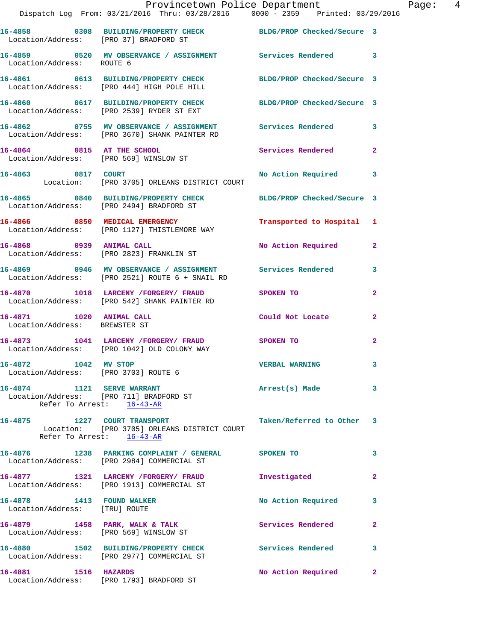|                                                                 | Provincetown Police Department<br>Dispatch Log From: 03/21/2016 Thru: 03/28/2016 0000 - 2359 Printed: 03/29/2016 |                           |                |
|-----------------------------------------------------------------|------------------------------------------------------------------------------------------------------------------|---------------------------|----------------|
|                                                                 | 16-4858 0308 BUILDING/PROPERTY CHECK BLDG/PROP Checked/Secure 3<br>Location/Address: [PRO 37] BRADFORD ST        |                           |                |
| Location/Address: ROUTE 6                                       | 16-4859 0520 MV OBSERVANCE / ASSIGNMENT Services Rendered 3                                                      |                           |                |
|                                                                 | 16-4861 0613 BUILDING/PROPERTY CHECK BLDG/PROP Checked/Secure 3<br>Location/Address: [PRO 444] HIGH POLE HILL    |                           |                |
|                                                                 | 16-4860 0617 BUILDING/PROPERTY CHECK BLDG/PROP Checked/Secure 3<br>Location/Address: [PRO 2539] RYDER ST EXT     |                           |                |
|                                                                 | 16-4862 0755 MV OBSERVANCE / ASSIGNMENT Services Rendered<br>Location/Address: [PRO 3670] SHANK PAINTER RD       |                           | 3              |
|                                                                 | 16-4864 0815 AT THE SCHOOL<br>Location/Address: [PRO 569] WINSLOW ST                                             | Services Rendered         | $\mathbf{2}$   |
| 16-4863 0817 COURT                                              | Location: [PRO 3705] ORLEANS DISTRICT COURT                                                                      | No Action Required 3      |                |
|                                                                 | 16-4865 0840 BUILDING/PROPERTY CHECK BLDG/PROP Checked/Secure 3<br>Location/Address: [PRO 2494] BRADFORD ST      |                           |                |
|                                                                 | 16-4866 0850 MEDICAL EMERGENCY Transported to Hospital 1<br>Location/Address: [PRO 1127] THISTLEMORE WAY         |                           |                |
|                                                                 | 16-4868 0939 ANIMAL CALL<br>Location/Address: [PRO 2823] FRANKLIN ST                                             | No Action Required        | $\mathbf{2}$   |
|                                                                 | 16-4869 0946 MV OBSERVANCE / ASSIGNMENT Services Rendered<br>Location/Address: [PRO 2521] ROUTE 6 + SNAIL RD     |                           | 3              |
|                                                                 | 16-4870 1018 LARCENY /FORGERY / FRAUD SPOKEN TO<br>Location/Address: [PRO 542] SHANK PAINTER RD                  |                           | $\overline{2}$ |
| 16-4871 1020 ANIMAL CALL<br>Location/Address: BREWSTER ST       |                                                                                                                  | <b>Could Not Locate</b>   | $\mathbf{2}$   |
|                                                                 | 16-4873 1041 LARCENY /FORGERY / FRAUD SPOKEN TO<br>Location/Address: [PRO 1042] OLD COLONY WAY                   |                           | $\mathbf{2}$   |
| 16-4872<br>1042 MV STOP<br>Location/Address: [PRO 3703] ROUTE 6 |                                                                                                                  | <b>VERBAL WARNING</b>     | 3              |
| 16-4874 1121 SERVE WARRANT                                      | Location/Address: [PRO 711] BRADFORD ST<br>Refer To Arrest: 16-43-AR                                             | Arrest(s) Made            | 3              |
| 16-4875                                                         | 1227 COURT TRANSPORT<br>Location: [PRO 3705] ORLEANS DISTRICT COURT<br>Refer To Arrest: 16-43-AR                 | Taken/Referred to Other 3 |                |
|                                                                 | 16-4876 1238 PARKING COMPLAINT / GENERAL<br>Location/Address: [PRO 2984] COMMERCIAL ST                           | SPOKEN TO                 | 3              |
|                                                                 | 16-4877 1321 LARCENY / FORGERY / FRAUD<br>Location/Address: [PRO 1913] COMMERCIAL ST                             | Investigated              | $\mathbf{2}$   |
| 16-4878 1413 FOUND WALKER<br>Location/Address: [TRU] ROUTE      |                                                                                                                  | No Action Required        | 3              |
|                                                                 | 16-4879 1458 PARK, WALK & TALK<br>Location/Address: [PRO 569] WINSLOW ST                                         | Services Rendered         | $\mathbf{2}$   |
|                                                                 | 16-4880 1502 BUILDING/PROPERTY CHECK<br>Location/Address: [PRO 2977] COMMERCIAL ST                               | <b>Services Rendered</b>  | 3              |
| 16-4881<br>1516 HAZARDS                                         |                                                                                                                  | No Action Required        | $\mathbf{2}$   |

Location/Address: [PRO 1793] BRADFORD ST

Page: 4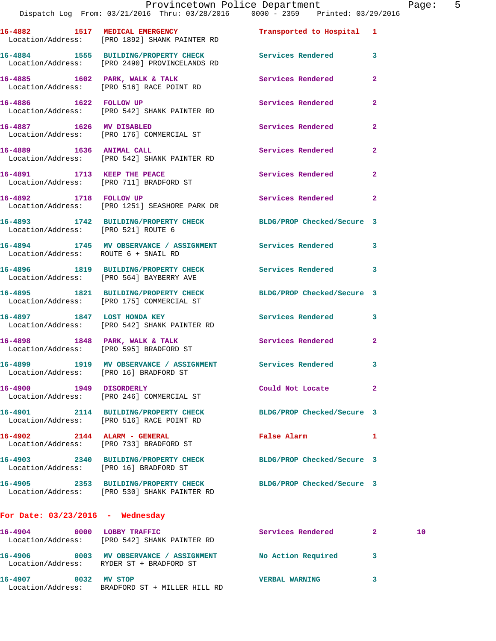Location/Address: [PRO 1892] SHANK PAINTER RD **16-4884 1555 BUILDING/PROPERTY CHECK Services Rendered 3**  Location/Address: [PRO 2490] PROVINCELANDS RD **16-4885 1602 PARK, WALK & TALK Services Rendered 2**  Location/Address: [PRO 516] RACE POINT RD 16-4886 1622 FOLLOW UP **Services Rendered** 2

 Location/Address: [PRO 542] SHANK PAINTER RD **16-4887 1626 MV DISABLED Services Rendered 2**  Location/Address: [PRO 176] COMMERCIAL ST

**16-4889 1636 ANIMAL CALL Services Rendered 2**  Location/Address: [PRO 542] SHANK PAINTER RD **16-4891 1713 KEEP THE PEACE Services Rendered 2**  Location/Address: [PRO 711] BRADFORD ST

**16-4892 1718 FOLLOW UP Services Rendered 2**  Location/Address: [PRO 1251] SEASHORE PARK DR

**16-4893 1742 BUILDING/PROPERTY CHECK BLDG/PROP Checked/Secure 3**  Location/Address: [PRO 521] ROUTE 6

**16-4894 1745 MV OBSERVANCE / ASSIGNMENT Services Rendered 3**  Location/Address: ROUTE 6 + SNAIL RD

**16-4896 1819 BUILDING/PROPERTY CHECK Services Rendered 3**  Location/Address: [PRO 564] BAYBERRY AVE

**16-4895 1821 BUILDING/PROPERTY CHECK BLDG/PROP Checked/Secure 3**  Location/Address: [PRO 175] COMMERCIAL ST

**16-4897 1847 LOST HONDA KEY Services Rendered 3**  Location/Address: [PRO 542] SHANK PAINTER RD

**16-4898 1848 PARK, WALK & TALK Services Rendered 2**  Location/Address: [PRO 595] BRADFORD ST

**16-4899 1919 MV OBSERVANCE / ASSIGNMENT Services Rendered 3**  Location/Address: [PRO 16] BRADFORD ST

**16-4900 1949 DISORDERLY Could Not Locate 2**  Location/Address: [PRO 246] COMMERCIAL ST

**16-4901 2114 BUILDING/PROPERTY CHECK BLDG/PROP Checked/Secure 3**  Location/Address: [PRO 516] RACE POINT RD

**16-4902 2144 ALARM - GENERAL False Alarm 1**  Location/Address: [PRO 733] BRADFORD ST

**16-4903 2340 BUILDING/PROPERTY CHECK BLDG/PROP Checked/Secure 3**  Location/Address: [PRO 16] BRADFORD ST

**16-4905 2353 BUILDING/PROPERTY CHECK BLDG/PROP Checked/Secure 3**  Location/Address: [PRO 530] SHANK PAINTER RD

## **For Date: 03/23/2016 - Wednesday**

| 16-4904<br>Location/Address: | 0000 | LOBBY TRAFFIC<br>FPRO 5421 SHANK PAINTER RD                            | Services Rendered     | 10 |
|------------------------------|------|------------------------------------------------------------------------|-----------------------|----|
| 16–4906                      | 0003 | MV OBSERVANCE / ASSIGNMENT<br>Location/Address: RYDER ST + BRADFORD ST | No Action Required    |    |
| 16-4907<br>Location/Address: | 0032 | MV STOP<br>BRADFORD ST + MILLER HILL RD                                | <b>VERBAL WARNING</b> |    |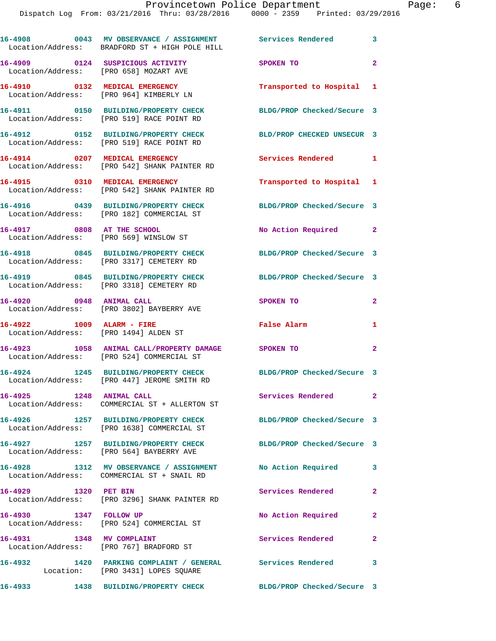|                                                                            | 16-4908 0043 MV OBSERVANCE / ASSIGNMENT Services Rendered 3<br>Location/Address: BRADFORD ST + HIGH POLE HILL |                            |                |
|----------------------------------------------------------------------------|---------------------------------------------------------------------------------------------------------------|----------------------------|----------------|
| 16-4909 0124 SUSPICIOUS ACTIVITY<br>Location/Address: [PRO 658] MOZART AVE |                                                                                                               | SPOKEN TO                  | $\overline{2}$ |
|                                                                            | 16-4910 0132 MEDICAL EMERGENCY<br>Location/Address: [PRO 964] KIMBERLY LN                                     | Transported to Hospital 1  |                |
|                                                                            | 16-4911 0150 BUILDING/PROPERTY CHECK<br>Location/Address: [PRO 519] RACE POINT RD                             | BLDG/PROP Checked/Secure 3 |                |
|                                                                            | 16-4912 0152 BUILDING/PROPERTY CHECK<br>Location/Address: [PRO 519] RACE POINT RD                             | BLD/PROP CHECKED UNSECUR 3 |                |
|                                                                            | 16-4914 0207 MEDICAL EMERGENCY<br>Location/Address: [PRO 542] SHANK PAINTER RD                                | Services Rendered          | $\mathbf{1}$   |
|                                                                            | 16-4915 0310 MEDICAL EMERGENCY<br>Location/Address: [PRO 542] SHANK PAINTER RD                                | Transported to Hospital 1  |                |
|                                                                            | 16-4916 0439 BUILDING/PROPERTY CHECK<br>Location/Address: [PRO 182] COMMERCIAL ST                             | BLDG/PROP Checked/Secure 3 |                |
| 16-4917 0808 AT THE SCHOOL<br>Location/Address: [PRO 569] WINSLOW ST       |                                                                                                               | No Action Required 2       |                |
|                                                                            | 16-4918 0845 BUILDING/PROPERTY CHECK<br>Location/Address: [PRO 3317] CEMETERY RD                              | BLDG/PROP Checked/Secure 3 |                |
|                                                                            | 16-4919 0845 BUILDING/PROPERTY CHECK<br>Location/Address: [PRO 3318] CEMETERY RD                              | BLDG/PROP Checked/Secure 3 |                |
| 16-4920 0948 ANIMAL CALL                                                   | Location/Address: [PRO 3802] BAYBERRY AVE                                                                     | SPOKEN TO                  | $\mathbf{2}$   |
| 16-4922 1009 ALARM - FIRE                                                  | Location/Address: [PRO 1494] ALDEN ST                                                                         | False Alarm                | 1              |
|                                                                            | 16-4923 1058 ANIMAL CALL/PROPERTY DAMAGE SPOKEN TO<br>Location/Address: [PRO 524] COMMERCIAL ST               |                            | $\overline{a}$ |
|                                                                            | 16-4924 1245 BUILDING/PROPERTY CHECK<br>Location/Address: [PRO 447] JEROME SMITH RD                           | BLDG/PROP Checked/Secure 3 |                |
| 16-4925 1248 ANIMAL CALL                                                   | Location/Address: COMMERCIAL ST + ALLERTON ST                                                                 | Services Rendered          | $\mathbf{2}$   |
| 16-4926                                                                    | 1257 BUILDING/PROPERTY CHECK<br>Location/Address: [PRO 1638] COMMERCIAL ST                                    | BLDG/PROP Checked/Secure 3 |                |
|                                                                            | 16-4927 1257 BUILDING/PROPERTY CHECK<br>Location/Address: [PRO 564] BAYBERRY AVE                              | BLDG/PROP Checked/Secure 3 |                |
|                                                                            | 16-4928 1312 MV OBSERVANCE / ASSIGNMENT<br>Location/Address: COMMERCIAL ST + SNAIL RD                         | No Action Required         | 3              |
| 16-4929 1320 PET BIN                                                       | Location/Address: [PRO 3296] SHANK PAINTER RD                                                                 | Services Rendered          | $\overline{2}$ |
| 1347 FOLLOW UP<br>16-4930                                                  | Location/Address: [PRO 524] COMMERCIAL ST                                                                     | No Action Required         | $\overline{2}$ |
| 16-4931 1348 MV COMPLAINT                                                  | Location/Address: [PRO 767] BRADFORD ST                                                                       | <b>Services Rendered</b>   | $\mathbf{2}$   |
| 16-4932                                                                    | 1420 PARKING COMPLAINT / GENERAL Services Rendered<br>Location: [PRO 3431] LOPES SQUARE                       |                            | 3              |
| 16-4933                                                                    | 1438 BUILDING/PROPERTY CHECK                                                                                  | BLDG/PROP Checked/Secure 3 |                |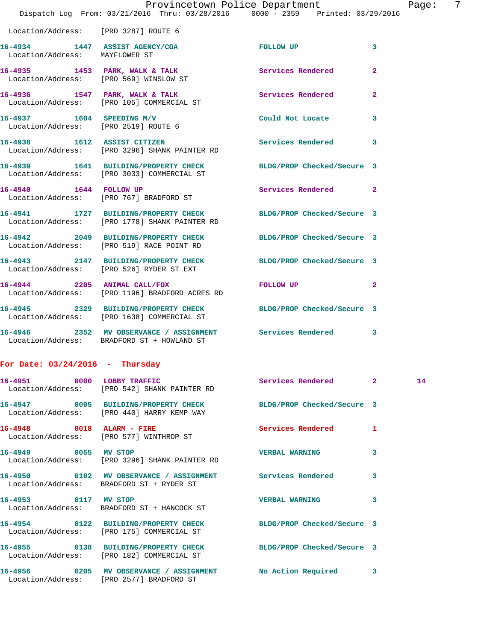|                                                                  | Dispatch Log From: 03/21/2016 Thru: 03/28/2016 0000 - 2359 Printed: 03/29/2016                                   | Provincetown Police Department |                | Paqe: | -7 |
|------------------------------------------------------------------|------------------------------------------------------------------------------------------------------------------|--------------------------------|----------------|-------|----|
| Location/Address: [PRO 3287] ROUTE 6                             |                                                                                                                  |                                |                |       |    |
| 16-4934 1447 ASSIST AGENCY/COA<br>Location/Address: MAYFLOWER ST |                                                                                                                  | FOLLOW UP                      | 3              |       |    |
|                                                                  | 16-4935 1453 PARK, WALK & TALK Services Rendered<br>Location/Address: [PRO 569] WINSLOW ST                       |                                | $\overline{2}$ |       |    |
|                                                                  | 16-4936 1547 PARK, WALK & TALK 1999 Services Rendered<br>Location/Address: [PRO 105] COMMERCIAL ST               |                                | $\mathbf{2}$   |       |    |
| Location/Address: [PRO 2519] ROUTE 6                             | 16-4937 1604 SPEEDING M/V                                                                                        | Could Not Locate 3             |                |       |    |
|                                                                  | 16-4938 1612 ASSIST CITIZEN Services Rendered 3<br>Location/Address: [PRO 3296] SHANK PAINTER RD                 |                                |                |       |    |
|                                                                  | 16-4939 1641 BUILDING/PROPERTY CHECK BLDG/PROP Checked/Secure 3<br>Location/Address: [PRO 3033] COMMERCIAL ST    |                                |                |       |    |
|                                                                  | 16-4940 1644 FOLLOW UP<br>Location/Address: [PRO 767] BRADFORD ST                                                | Services Rendered 2            |                |       |    |
|                                                                  | 16-4941 1727 BUILDING/PROPERTY CHECK BLDG/PROP Checked/Secure 3<br>Location/Address: [PRO 1778] SHANK PAINTER RD |                                |                |       |    |
|                                                                  | 16-4942 2049 BUILDING/PROPERTY CHECK BLDG/PROP Checked/Secure 3<br>Location/Address: [PRO 519] RACE POINT RD     |                                |                |       |    |
|                                                                  | 16-4943 2147 BUILDING/PROPERTY CHECK BLDG/PROP Checked/Secure 3<br>Location/Address: [PRO 526] RYDER ST EXT      |                                |                |       |    |
|                                                                  | 16-4944 2205 ANIMAL CALL/FOX<br>Location/Address: [PRO 1196] BRADFORD ACRES RD                                   | FOLLOW UP                      | $\overline{2}$ |       |    |
|                                                                  | 16-4945 2329 BUILDING/PROPERTY CHECK BLDG/PROP Checked/Secure 3<br>Location/Address: [PRO 1638] COMMERCIAL ST    |                                |                |       |    |
|                                                                  | 16-4946 2352 MV OBSERVANCE / ASSIGNMENT Services Rendered 3<br>Location/Address: BRADFORD ST + HOWLAND ST        |                                |                |       |    |
| For Date: $03/24/2016$ - Thursday                                |                                                                                                                  |                                |                |       |    |
|                                                                  | 16-4951 0000 LOBBY TRAFFIC<br>Location/Address: [PRO 542] SHANK PAINTER RD                                       | Services Rendered 2            |                | 14    |    |
|                                                                  | 16-4947 0005 BUILDING/PROPERTY CHECK<br>Location/Address: [PRO 440] HARRY KEMP WAY                               | BLDG/PROP Checked/Secure 3     |                |       |    |
| 16-4948 0018 ALARM - FIRE                                        | Location/Address: [PRO 577] WINTHROP ST                                                                          | Services Rendered 1            |                |       |    |
| 16-4949 0055 MV STOP                                             | Location/Address: [PRO 3296] SHANK PAINTER RD                                                                    | <b>VERBAL WARNING</b>          | 3              |       |    |
|                                                                  | 16-4950 0102 MV OBSERVANCE / ASSIGNMENT Services Rendered 3<br>Location/Address: BRADFORD ST + RYDER ST          |                                |                |       |    |
| 16-4953 0117 MV STOP                                             | Location/Address: BRADFORD ST + HANCOCK ST                                                                       | <b>VERBAL WARNING</b>          | 3              |       |    |
|                                                                  | 16-4954 0122 BUILDING/PROPERTY CHECK BLDG/PROP Checked/Secure 3<br>Location/Address: [PRO 175] COMMERCIAL ST     |                                |                |       |    |
|                                                                  | 16-4955 0138 BUILDING/PROPERTY CHECK BLDG/PROP Checked/Secure 3<br>Location/Address: [PRO 182] COMMERCIAL ST     |                                |                |       |    |
|                                                                  | 16-4956 0205 MV OBSERVANCE / ASSIGNMENT NO Action Required 3<br>Location/Address: [PRO 2577] BRADFORD ST         |                                |                |       |    |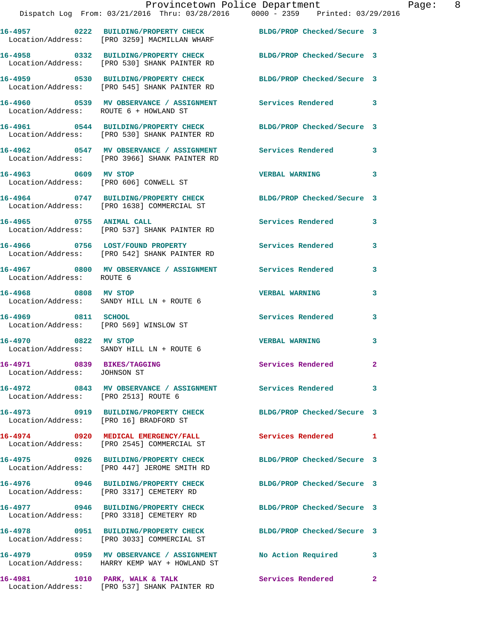|                                                            | Provincetown Police Department<br>Dispatch Log From: 03/21/2016 Thru: 03/28/2016 0000 - 2359 Printed: 03/29/2016 |                            |   |
|------------------------------------------------------------|------------------------------------------------------------------------------------------------------------------|----------------------------|---|
|                                                            | 16-4957 0222 BUILDING/PROPERTY CHECK BLDG/PROP Checked/Secure 3<br>Location/Address: [PRO 3259] MACMILLAN WHARF  |                            |   |
|                                                            | 16-4958 0332 BUILDING/PROPERTY CHECK BLDG/PROP Checked/Secure 3<br>Location/Address: [PRO 530] SHANK PAINTER RD  |                            |   |
|                                                            | 16-4959 0530 BUILDING/PROPERTY CHECK BLDG/PROP Checked/Secure 3<br>Location/Address: [PRO 545] SHANK PAINTER RD  |                            |   |
| Location/Address: ROUTE 6 + HOWLAND ST                     | 16-4960 0539 MV OBSERVANCE / ASSIGNMENT Services Rendered                                                        |                            | 3 |
|                                                            | 16-4961 0544 BUILDING/PROPERTY CHECK BLDG/PROP Checked/Secure 3<br>Location/Address: [PRO 530] SHANK PAINTER RD  |                            |   |
|                                                            | 16-4962 0547 MV OBSERVANCE / ASSIGNMENT Services Rendered<br>Location/Address: [PRO 3966] SHANK PAINTER RD       |                            | 3 |
| 16-4963 0609 MV STOP                                       | Location/Address: [PRO 606] CONWELL ST                                                                           | <b>VERBAL WARNING</b>      | 3 |
|                                                            | 16-4964 0747 BUILDING/PROPERTY CHECK BLDG/PROP Checked/Secure 3<br>Location/Address: [PRO 1638] COMMERCIAL ST    |                            |   |
|                                                            | 16-4965 0755 ANIMAL CALL<br>Location/Address: [PRO 537] SHANK PAINTER RD                                         | <b>Services Rendered</b>   | 3 |
|                                                            | 16-4966 0756 LOST/FOUND PROPERTY<br>Location/Address: [PRO 542] SHANK PAINTER RD                                 | <b>Services Rendered</b>   | 3 |
| Location/Address: ROUTE 6                                  | 16-4967 6800 MV OBSERVANCE / ASSIGNMENT Services Rendered                                                        |                            | 3 |
| 16-4968 0808 MV STOP                                       | Location/Address: SANDY HILL LN + ROUTE 6                                                                        | <b>VERBAL WARNING</b>      | 3 |
| 16-4969 0811 SCHOOL                                        | Location/Address: [PRO 569] WINSLOW ST                                                                           | <b>Services Rendered</b>   | 3 |
| 16-4970 0822 MV STOP                                       | Location/Address: SANDY HILL LN + ROUTE 6                                                                        | <b>VERBAL WARNING</b>      | 3 |
| 16-4971 0839 BIKES/TAGGING<br>Location/Address: JOHNSON ST |                                                                                                                  | Services Rendered          | 2 |
| Location/Address: [PRO 2513] ROUTE 6                       | 16-4972 0843 MV OBSERVANCE / ASSIGNMENT Services Rendered                                                        |                            | 3 |
| Location/Address: [PRO 16] BRADFORD ST                     | 16-4973 0919 BUILDING/PROPERTY CHECK                                                                             | BLDG/PROP Checked/Secure 3 |   |
|                                                            | 16-4974 0920 MEDICAL EMERGENCY/FALL<br>Location/Address: [PRO 2545] COMMERCIAL ST                                | <b>Services Rendered</b>   | 1 |
|                                                            | 16-4975 0926 BUILDING/PROPERTY CHECK<br>Location/Address: [PRO 447] JEROME SMITH RD                              | BLDG/PROP Checked/Secure 3 |   |
|                                                            | 16-4976 0946 BUILDING/PROPERTY CHECK<br>Location/Address: [PRO 3317] CEMETERY RD                                 | BLDG/PROP Checked/Secure 3 |   |
|                                                            | 16-4977 0946 BUILDING/PROPERTY CHECK<br>Location/Address: [PRO 3318] CEMETERY RD                                 | BLDG/PROP Checked/Secure 3 |   |
|                                                            | 16-4978 0951 BUILDING/PROPERTY CHECK<br>Location/Address: [PRO 3033] COMMERCIAL ST                               | BLDG/PROP Checked/Secure 3 |   |
|                                                            | Location/Address: HARRY KEMP WAY + HOWLAND ST                                                                    |                            | 3 |
|                                                            |                                                                                                                  |                            |   |

**16-4981 1010 PARK, WALK & TALK Services Rendered 2**  Location/Address: [PRO 537] SHANK PAINTER RD

Page: 8<br>6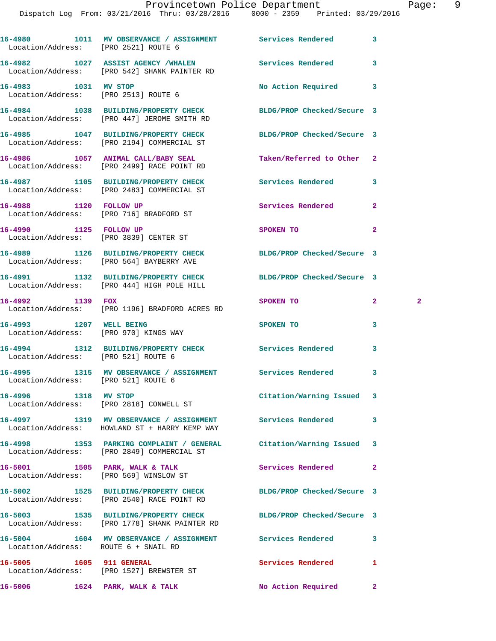| Location/Address: [PRO 2521] ROUTE 6                         | 16-4980 1011 MV OBSERVANCE / ASSIGNMENT Services Rendered                                                     |                            | 3                            |
|--------------------------------------------------------------|---------------------------------------------------------------------------------------------------------------|----------------------------|------------------------------|
|                                                              | 16-4982 1027 ASSIST AGENCY /WHALEN<br>Location/Address: [PRO 542] SHANK PAINTER RD                            | Services Rendered          | 3                            |
| 16-4983 1031 MV STOP<br>Location/Address: [PRO 2513] ROUTE 6 |                                                                                                               | No Action Required         | 3                            |
|                                                              | 16-4984 1038 BUILDING/PROPERTY CHECK<br>Location/Address: [PRO 447] JEROME SMITH RD                           | BLDG/PROP Checked/Secure 3 |                              |
|                                                              | 16-4985 1047 BUILDING/PROPERTY CHECK<br>Location/Address: [PRO 2194] COMMERCIAL ST                            | BLDG/PROP Checked/Secure 3 |                              |
|                                                              | 16-4986 1057 ANIMAL CALL/BABY SEAL<br>Location/Address: [PRO 2499] RACE POINT RD                              | Taken/Referred to Other    | $\mathbf{2}$                 |
|                                                              | 16-4987 1105 BUILDING/PROPERTY CHECK<br>Location/Address: [PRO 2483] COMMERCIAL ST                            | Services Rendered          | 3                            |
|                                                              | 16-4988 1120 FOLLOW UP<br>Location/Address: [PRO 716] BRADFORD ST                                             | Services Rendered          | $\overline{a}$               |
| 16-4990 1125 FOLLOW UP                                       | Location/Address: [PRO 3839] CENTER ST                                                                        | SPOKEN TO                  | $\overline{a}$               |
|                                                              | 16-4989 1126 BUILDING/PROPERTY CHECK<br>Location/Address: [PRO 564] BAYBERRY AVE                              | BLDG/PROP Checked/Secure 3 |                              |
|                                                              | 16-4991 1132 BUILDING/PROPERTY CHECK BLDG/PROP Checked/Secure 3<br>Location/Address: [PRO 444] HIGH POLE HILL |                            |                              |
| 16-4992 1139 FOX                                             | Location/Address: [PRO 1196] BRADFORD ACRES RD                                                                | SPOKEN TO                  | $\mathbf{2}$<br>$\mathbf{2}$ |
| 16-4993 1207 WELL BEING                                      | Location/Address: [PRO 970] KINGS WAY                                                                         | SPOKEN TO                  | 3                            |
| Location/Address: [PRO 521] ROUTE 6                          | 16-4994 1312 BUILDING/PROPERTY CHECK Services Rendered                                                        |                            | 3                            |
| Location/Address: [PRO 521] ROUTE 6                          | 16-4995 1315 MV OBSERVANCE / ASSIGNMENT Services Rendered                                                     |                            | 3                            |
|                                                              | 16-4996 1318 MV STOP<br>Location/Address: [PRO 2818] CONWELL ST                                               | Citation/Warning Issued    | 3                            |
|                                                              | 16-4997 1319 MV OBSERVANCE / ASSIGNMENT Services Rendered<br>Location/Address: HOWLAND ST + HARRY KEMP WAY    |                            | 3                            |
|                                                              | 16-4998 1353 PARKING COMPLAINT / GENERAL<br>Location/Address: [PRO 2849] COMMERCIAL ST                        | Citation/Warning Issued    | 3                            |
|                                                              | 16-5001 1505 PARK, WALK & TALK<br>Location/Address: [PRO 569] WINSLOW ST                                      | <b>Services Rendered</b>   | $\mathbf{2}$                 |
|                                                              | 16-5002 1525 BUILDING/PROPERTY CHECK<br>Location/Address: [PRO 2540] RACE POINT RD                            | BLDG/PROP Checked/Secure 3 |                              |
|                                                              | 16-5003 1535 BUILDING/PROPERTY CHECK<br>Location/Address: [PRO 1778] SHANK PAINTER RD                         | BLDG/PROP Checked/Secure 3 |                              |
| Location/Address: ROUTE 6 + SNAIL RD                         | 16-5004 1604 MV OBSERVANCE / ASSIGNMENT Services Rendered                                                     |                            | 3                            |
| 16-5005 1605 911 GENERAL                                     | Location/Address: [PRO 1527] BREWSTER ST                                                                      | Services Rendered          | 1                            |
|                                                              | 16-5006 1624 PARK, WALK & TALK                                                                                | No Action Required         | $\mathbf{2}$                 |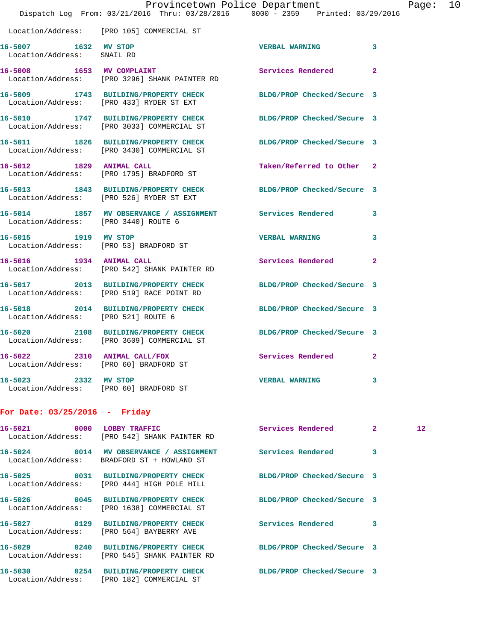|                                                    | Dispatch Log From: 03/21/2016 Thru: 03/28/2016 0000 - 2359 Printed: 03/29/2016                                  | Provincetown Police Department |                | Page: 10        |  |
|----------------------------------------------------|-----------------------------------------------------------------------------------------------------------------|--------------------------------|----------------|-----------------|--|
|                                                    | Location/Address: [PRO 105] COMMERCIAL ST                                                                       |                                |                |                 |  |
| 16-5007 1632 MV STOP<br>Location/Address: SNAIL RD |                                                                                                                 | <b>VERBAL WARNING</b>          | 3              |                 |  |
|                                                    | 16-5008 1653 MV COMPLAINT<br>Location/Address: [PRO 3296] SHANK PAINTER RD                                      | <b>Services Rendered</b>       | $\overline{a}$ |                 |  |
|                                                    | 16-5009 1743 BUILDING/PROPERTY CHECK BLDG/PROP Checked/Secure 3<br>Location/Address: [PRO 433] RYDER ST EXT     |                                |                |                 |  |
|                                                    | 16-5010 1747 BUILDING/PROPERTY CHECK BLDG/PROP Checked/Secure 3<br>Location/Address: [PRO 3033] COMMERCIAL ST   |                                |                |                 |  |
|                                                    | 16-5011 1826 BUILDING/PROPERTY CHECK BLDG/PROP Checked/Secure 3<br>Location/Address: [PRO 3430] COMMERCIAL ST   |                                |                |                 |  |
|                                                    | 16-5012 1829 ANIMAL CALL<br>Location/Address: [PRO 1795] BRADFORD ST                                            | Taken/Referred to Other 2      |                |                 |  |
|                                                    | 16-5013 1843 BUILDING/PROPERTY CHECK BLDG/PROP Checked/Secure 3<br>Location/Address: [PRO 526] RYDER ST EXT     |                                |                |                 |  |
| Location/Address: [PRO 3440] ROUTE 6               | 16-5014 1857 MV OBSERVANCE / ASSIGNMENT Services Rendered 3                                                     |                                |                |                 |  |
|                                                    | 16-5015 1919 MV STOP<br>Location/Address: [PRO 53] BRADFORD ST                                                  | <b>VERBAL WARNING</b>          | 3              |                 |  |
|                                                    | 16-5016 1934 ANIMAL CALL<br>Location/Address: [PRO 542] SHANK PAINTER RD                                        | Services Rendered 2            |                |                 |  |
|                                                    | 16-5017 2013 BUILDING/PROPERTY CHECK BLDG/PROP Checked/Secure 3<br>Location/Address: [PRO 519] RACE POINT RD    |                                |                |                 |  |
| Location/Address: [PRO 521] ROUTE 6                | 16-5018 2014 BUILDING/PROPERTY CHECK BLDG/PROP Checked/Secure 3                                                 |                                |                |                 |  |
|                                                    | 16-5020 2108 BUILDING/PROPERTY CHECK BLDG/PROP Checked/Secure 3<br>Location/Address: [PRO 3609] COMMERCIAL ST   |                                |                |                 |  |
| 16-5022                                            | 2310 ANIMAL CALL/FOX<br>Location/Address: [PRO 60] BRADFORD ST                                                  | Services Rendered 2            |                |                 |  |
| 16-5023 2332 MV STOP                               | Location/Address: [PRO 60] BRADFORD ST                                                                          | <b>VERBAL WARNING</b>          | 3              |                 |  |
| For Date: $03/25/2016$ - Friday                    |                                                                                                                 |                                |                |                 |  |
|                                                    | 16-5021 0000 LOBBY TRAFFIC<br>Location/Address: [PRO 542] SHANK PAINTER RD                                      | Services Rendered 2            |                | 12 <sup>°</sup> |  |
|                                                    | 16-5024 0014 MV OBSERVANCE / ASSIGNMENT Services Rendered 3<br>Location/Address: BRADFORD ST + HOWLAND ST       |                                |                |                 |  |
|                                                    | 16-5025 0031 BUILDING/PROPERTY CHECK BLDG/PROP Checked/Secure 3<br>Location/Address: [PRO 444] HIGH POLE HILL   |                                |                |                 |  |
|                                                    | 16-5026 0045 BUILDING/PROPERTY CHECK BLDG/PROP Checked/Secure 3<br>Location/Address: [PRO 1638] COMMERCIAL ST   |                                |                |                 |  |
|                                                    | 16-5027 0129 BUILDING/PROPERTY CHECK Services Rendered 3<br>Location/Address: [PRO 564] BAYBERRY AVE            |                                |                |                 |  |
|                                                    | 16-5029 0240 BUILDING/PROPERTY CHECK BLDG/PROP Checked/Secure 3<br>Location/Address: [PRO 545] SHANK PAINTER RD |                                |                |                 |  |
|                                                    | 16-5030 0254 BUILDING/PROPERTY CHECK BLDG/PROP Checked/Secure 3<br>Location/Address: [PRO 182] COMMERCIAL ST    |                                |                |                 |  |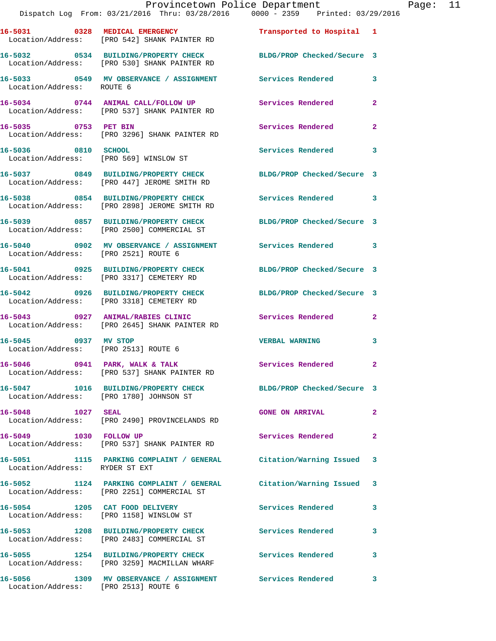|                                                              |                                                                                                                 | Dispatch Log From: 03/21/2016 Thru: 03/28/2016 0000 - 2359 Printed: 03/29/2016 |              |
|--------------------------------------------------------------|-----------------------------------------------------------------------------------------------------------------|--------------------------------------------------------------------------------|--------------|
|                                                              | 16-5031 0328 MEDICAL EMERGENCY<br>Location/Address: [PRO 542] SHANK PAINTER RD                                  | Transported to Hospital 1                                                      |              |
|                                                              | 16-5032 0534 BUILDING/PROPERTY CHECK BLDG/PROP Checked/Secure 3<br>Location/Address: [PRO 530] SHANK PAINTER RD |                                                                                |              |
| Location/Address: ROUTE 6                                    | 16-5033 6549 MV OBSERVANCE / ASSIGNMENT Services Rendered                                                       |                                                                                | 3            |
|                                                              | 16-5034 0744 ANIMAL CALL/FOLLOW UP Services Rendered<br>Location/Address: [PRO 537] SHANK PAINTER RD            |                                                                                | $\mathbf{2}$ |
|                                                              | 16-5035 0753 PET BIN<br>Location/Address: [PRO 3296] SHANK PAINTER RD                                           | Services Rendered                                                              | $\mathbf{2}$ |
| 16-5036 0810 SCHOOL                                          | Location/Address: [PRO 569] WINSLOW ST                                                                          | Services Rendered                                                              | 3            |
|                                                              | 16-5037 0849 BUILDING/PROPERTY CHECK<br>Location/Address: [PRO 447] JEROME SMITH RD                             | BLDG/PROP Checked/Secure 3                                                     |              |
|                                                              | 16-5038 0854 BUILDING/PROPERTY CHECK Services Rendered<br>Location/Address: [PRO 2898] JEROME SMITH RD          |                                                                                | 3            |
|                                                              | 16-5039 0857 BUILDING/PROPERTY CHECK<br>Location/Address: [PRO 2500] COMMERCIAL ST                              | BLDG/PROP Checked/Secure 3                                                     |              |
| Location/Address: [PRO 2521] ROUTE 6                         | 16-5040 0902 MV OBSERVANCE / ASSIGNMENT Services Rendered                                                       |                                                                                | 3            |
|                                                              | 16-5041 0925 BUILDING/PROPERTY CHECK BLDG/PROP Checked/Secure 3<br>Location/Address: [PRO 3317] CEMETERY RD     |                                                                                |              |
|                                                              | 16-5042 0926 BUILDING/PROPERTY CHECK<br>Location/Address: [PRO 3318] CEMETERY RD                                | BLDG/PROP Checked/Secure 3                                                     |              |
|                                                              | 16-5043 0927 ANIMAL/RABIES CLINIC Services Rendered<br>Location/Address: [PRO 2645] SHANK PAINTER RD            |                                                                                | $\mathbf{2}$ |
| 16-5045 0937 MV STOP<br>Location/Address: [PRO 2513] ROUTE 6 |                                                                                                                 | <b>VERBAL WARNING</b>                                                          | 3            |
|                                                              | 16-5046 0941 PARK, WALK & TALK<br>Location/Address: [PRO 537] SHANK PAINTER RD                                  | <b>Services Rendered</b>                                                       |              |
|                                                              | 16-5047 1016 BUILDING/PROPERTY CHECK BLDG/PROP Checked/Secure 3<br>Location/Address: [PRO 1780] JOHNSON ST      |                                                                                |              |
| 16-5048 1027 SEAL                                            | Location/Address: [PRO 2490] PROVINCELANDS RD                                                                   | <b>GONE ON ARRIVAL</b>                                                         | $\mathbf{2}$ |
| 16-5049 1030 FOLLOW UP                                       | Location/Address: [PRO 537] SHANK PAINTER RD                                                                    | Services Rendered                                                              | $\mathbf{2}$ |
| Location/Address: RYDER ST EXT                               | 16-5051 1115 PARKING COMPLAINT / GENERAL Citation/Warning Issued                                                |                                                                                | 3            |
|                                                              | 16-5052 1124 PARKING COMPLAINT / GENERAL<br>Location/Address: [PRO 2251] COMMERCIAL ST                          | Citation/Warning Issued                                                        | 3            |
|                                                              | 16-5054 1205 CAT FOOD DELIVERY<br>Location/Address: [PRO 1158] WINSLOW ST                                       | Services Rendered                                                              | 3            |
|                                                              | 16-5053 1208 BUILDING/PROPERTY CHECK<br>Location/Address: [PRO 2483] COMMERCIAL ST                              | Services Rendered                                                              | 3            |
|                                                              | 16-5055 1254 BUILDING/PROPERTY CHECK<br>Location/Address: [PRO 3259] MACMILLAN WHARF                            | Services Rendered                                                              | 3            |

**16-5056 1309 MV OBSERVANCE / ASSIGNMENT Services Rendered 3** 

Location/Address: [PRO 2513] ROUTE 6

Page: 11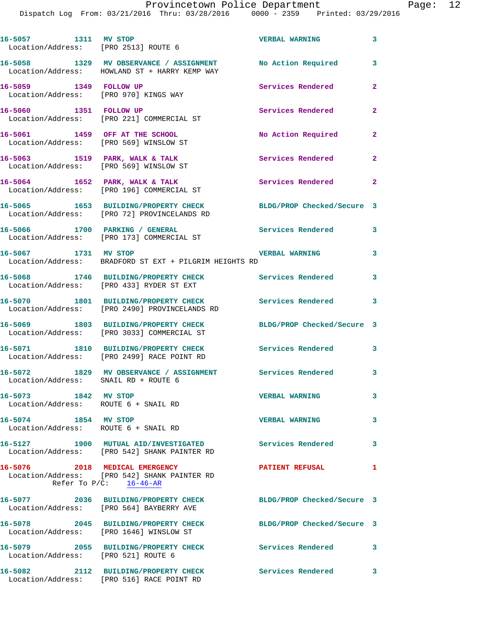Dispatch Log From: 03/21/2016 Thru: 03/28/2016 0000 - 2359 Printed: 03/29/2016

**16-5057 1311 MV STOP VERBAL WARNING 3**  Location/Address: [PRO 2513] ROUTE 6 **16-5058 1329 MV OBSERVANCE / ASSIGNMENT No Action Required 3**  Location/Address: HOWLAND ST + HARRY KEMP WAY **16-5059 1349 FOLLOW UP Services Rendered 2**  Location/Address: [PRO 970] KINGS WAY 16-5060 1351 FOLLOW UP **16-5060** Services Rendered Location/Address: [PRO 221] COMMERCIAL ST **16-5061 1459 OFF AT THE SCHOOL No Action Required 2**  Location/Address: [PRO 569] WINSLOW ST 16-5063 1519 PARK, WALK & TALK **Services Rendered** 2 Location/Address: [PRO 569] WINSLOW ST 16-5064 1652 PARK, WALK & TALK **Services Rendered** 2 Location/Address: [PRO 196] COMMERCIAL ST **16-5065 1653 BUILDING/PROPERTY CHECK BLDG/PROP Checked/Secure 3**  Location/Address: [PRO 72] PROVINCELANDS RD **16-5066 1700 PARKING / GENERAL Services Rendered 3**  Location/Address: [PRO 173] COMMERCIAL ST **16-5067 1731 MV STOP VERBAL WARNING 3**  Location/Address: BRADFORD ST EXT + PILGRIM HEIGHTS RD **16-5068 1746 BUILDING/PROPERTY CHECK Services Rendered 3**  Location/Address: [PRO 433] RYDER ST EXT **16-5070 1801 BUILDING/PROPERTY CHECK Services Rendered 3**  Location/Address: [PRO 2490] PROVINCELANDS RD **16-5069 1803 BUILDING/PROPERTY CHECK BLDG/PROP Checked/Secure 3**  Location/Address: [PRO 3033] COMMERCIAL ST **16-5071 1810 BUILDING/PROPERTY CHECK Services Rendered 3**  Location/Address: [PRO 2499] RACE POINT RD **16-5072 1829 MV OBSERVANCE / ASSIGNMENT Services Rendered 3**  Location/Address: SNAIL RD + ROUTE 6 **16-5073 1842 MV STOP VERBAL WARNING 3**  Location/Address: ROUTE 6 + SNAIL RD **16-5074 1854 MV STOP VERBAL WARNING 3**  Location/Address: ROUTE 6 + SNAIL RD **16-5127 1900 MUTUAL AID/INVESTIGATED Services Rendered 3**  Location/Address: [PRO 542] SHANK PAINTER RD **16-5076 2018 MEDICAL EMERGENCY PATIENT REFUSAL 1**  Location/Address: [PRO 542] SHANK PAINTER RD Refer To  $P/C$ :  $\frac{16-46-AR}{2}$ **16-5077 2036 BUILDING/PROPERTY CHECK BLDG/PROP Checked/Secure 3**  Location/Address: [PRO 564] BAYBERRY AVE **16-5078 2045 BUILDING/PROPERTY CHECK BLDG/PROP Checked/Secure 3**  Location/Address: [PRO 1646] WINSLOW ST **16-5079 2055 BUILDING/PROPERTY CHECK Services Rendered 3**  Location/Address: [PRO 521] ROUTE 6 **16-5082 2112 BUILDING/PROPERTY CHECK Services Rendered 3**  Location/Address: [PRO 516] RACE POINT RD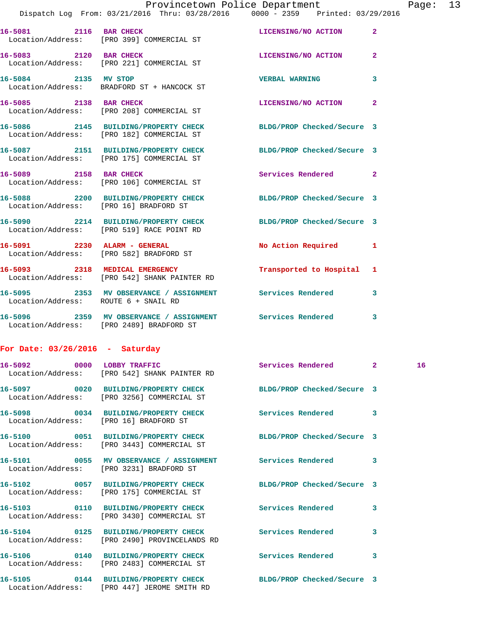|                                      |                                                                                                              | Provincetown Police Department |                | Page: 13 |  |
|--------------------------------------|--------------------------------------------------------------------------------------------------------------|--------------------------------|----------------|----------|--|
|                                      | Dispatch Log From: 03/21/2016 Thru: 03/28/2016 0000 - 2359 Printed: 03/29/2016                               |                                |                |          |  |
| 16-5081 2116 BAR CHECK               | Location/Address: [PRO 399] COMMERCIAL ST                                                                    | LICENSING/NO ACTION 2          |                |          |  |
|                                      | 16-5083 2120 BAR CHECK<br>Location/Address: [PRO 221] COMMERCIAL ST                                          | LICENSING/NO ACTION            | $\overline{2}$ |          |  |
|                                      | 16-5084 2135 MV STOP<br>Location/Address: BRADFORD ST + HANCOCK ST                                           | <b>VERBAL WARNING</b>          | 3              |          |  |
|                                      | 16-5085 2138 BAR CHECK<br>Location/Address: [PRO 208] COMMERCIAL ST                                          | LICENSING/NO ACTION 2          |                |          |  |
|                                      | 16-5086 2145 BUILDING/PROPERTY CHECK BLDG/PROP Checked/Secure 3<br>Location/Address: [PRO 182] COMMERCIAL ST |                                |                |          |  |
|                                      | 16-5087 2151 BUILDING/PROPERTY CHECK BLDG/PROP Checked/Secure 3<br>Location/Address: [PRO 175] COMMERCIAL ST |                                |                |          |  |
|                                      | 16-5089 2158 BAR CHECK<br>Location/Address: [PRO 106] COMMERCIAL ST                                          | Services Rendered 2            |                |          |  |
|                                      | 16-5088 2200 BUILDING/PROPERTY CHECK BLDG/PROP Checked/Secure 3<br>Location/Address: [PRO 16] BRADFORD ST    |                                |                |          |  |
|                                      | 16-5090 2214 BUILDING/PROPERTY CHECK BLDG/PROP Checked/Secure 3<br>Location/Address: [PRO 519] RACE POINT RD |                                |                |          |  |
|                                      | 16-5091 2230 ALARM - GENERAL<br>Location/Address: [PRO 582] BRADFORD ST                                      | No Action Required 1           |                |          |  |
|                                      | 16-5093 2318 MEDICAL EMERGENCY<br>Location/Address: [PRO 542] SHANK PAINTER RD                               | Transported to Hospital 1      |                |          |  |
| Location/Address: ROUTE 6 + SNAIL RD | 16-5095 2353 MV OBSERVANCE / ASSIGNMENT Services Rendered                                                    |                                | 3              |          |  |
|                                      | 16-5096 2359 MV OBSERVANCE / ASSIGNMENT Services Rendered                                                    |                                | 3              |          |  |

## **For Date: 03/26/2016 - Saturday**

Location/Address: [PRO 2489] BRADFORD ST

|                                        | 16-5092 0000 LOBBY TRAFFIC<br>Location/Address: [PRO 542] SHANK PAINTER RD                                     | Services Rendered 2 |   | 16 |
|----------------------------------------|----------------------------------------------------------------------------------------------------------------|---------------------|---|----|
|                                        | 16-5097 0020 BUILDING/PROPERTY CHECK BLDG/PROP Checked/Secure 3<br>Location/Address: [PRO 3256] COMMERCIAL ST  |                     |   |    |
| Location/Address: [PRO 16] BRADFORD ST | 16-5098 0034 BUILDING/PROPERTY CHECK Services Rendered 3                                                       |                     |   |    |
|                                        | 16-5100 0051 BUILDING/PROPERTY CHECK BLDG/PROP Checked/Secure 3<br>Location/Address: [PRO 3443] COMMERCIAL ST  |                     |   |    |
|                                        | 16-5101 0055 MV OBSERVANCE / ASSIGNMENT Services Rendered<br>Location/Address: [PRO 3231] BRADFORD ST          |                     | 3 |    |
|                                        | 16-5102 0057 BUILDING/PROPERTY CHECK BLDG/PROP Checked/Secure 3<br>Location/Address: [PRO 175] COMMERCIAL ST   |                     |   |    |
|                                        | 16-5103 0110 BUILDING/PROPERTY CHECK Services Rendered<br>Location/Address: [PRO 3430] COMMERCIAL ST           |                     | 3 |    |
|                                        | 16-5104 0125 BUILDING/PROPERTY CHECK Services Rendered<br>Location/Address: [PRO 2490] PROVINCELANDS RD        |                     | 3 |    |
|                                        | 16-5106  0140 BUILDING/PROPERTY CHECK Services Rendered<br>Location/Address: [PRO 2483] COMMERCIAL ST          |                     | 3 |    |
|                                        | 16-5105 0144 BUILDING/PROPERTY CHECK BLDG/PROP Checked/Secure 3<br>Location/Address: [PRO 447] JEROME SMITH RD |                     |   |    |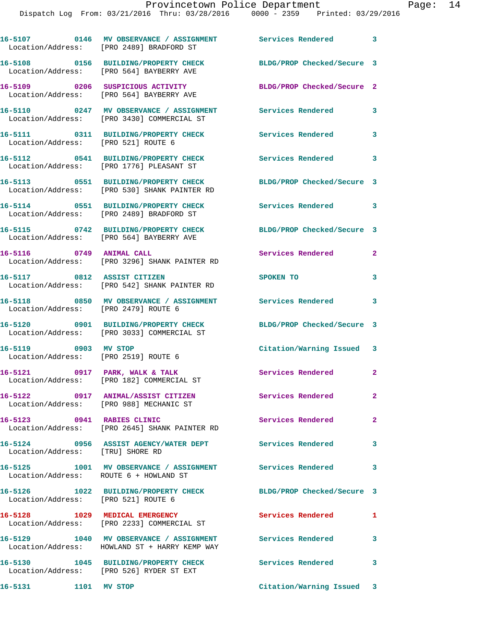|                                        | 16-5107 6146 MV OBSERVANCE / ASSIGNMENT Services Rendered 3<br>Location/Address: [PRO 2489] BRADFORD ST     |                            |                         |
|----------------------------------------|-------------------------------------------------------------------------------------------------------------|----------------------------|-------------------------|
|                                        | 16-5108 0156 BUILDING/PROPERTY CHECK<br>Location/Address: [PRO 564] BAYBERRY AVE                            | BLDG/PROP Checked/Secure 3 |                         |
|                                        | 16-5109 0206 SUSPICIOUS ACTIVITY<br>Location/Address: [PRO 564] BAYBERRY AVE                                | BLDG/PROP Checked/Secure 2 |                         |
|                                        | 16-5110 0247 MV OBSERVANCE / ASSIGNMENT Services Rendered<br>Location/Address: [PRO 3430] COMMERCIAL ST     |                            | $\overline{\mathbf{3}}$ |
| Location/Address: [PRO 521] ROUTE 6    | 16-5111 0311 BUILDING/PROPERTY CHECK                                                                        | Services Rendered 3        |                         |
|                                        | 16-5112 0541 BUILDING/PROPERTY CHECK<br>Location/Address: [PRO 1776] PLEASANT ST                            | <b>Services Rendered</b>   | 3                       |
|                                        | 16-5113 0551 BUILDING/PROPERTY CHECK<br>Location/Address: [PRO 530] SHANK PAINTER RD                        | BLDG/PROP Checked/Secure 3 |                         |
|                                        | 16-5114 0551 BUILDING/PROPERTY CHECK<br>Location/Address: [PRO 2489] BRADFORD ST                            | Services Rendered 3        |                         |
|                                        | 16-5115 0742 BUILDING/PROPERTY CHECK BLDG/PROP Checked/Secure 3<br>Location/Address: [PRO 564] BAYBERRY AVE |                            |                         |
|                                        | 16-5116 0749 ANIMAL CALL<br>Location/Address: [PRO 3296] SHANK PAINTER RD                                   | Services Rendered          | $\mathbf{2}$            |
| 16-5117 0812 ASSIST CITIZEN            | Location/Address: [PRO 542] SHANK PAINTER RD                                                                | SPOKEN TO                  | 3                       |
| Location/Address: [PRO 2479] ROUTE 6   | 16-5118 0850 MV OBSERVANCE / ASSIGNMENT Services Rendered 3                                                 |                            |                         |
|                                        | 16-5120 0901 BUILDING/PROPERTY CHECK<br>Location/Address: [PRO 3033] COMMERCIAL ST                          | BLDG/PROP Checked/Secure 3 |                         |
| 16-5119 0903 MV STOP                   | Location/Address: [PRO 2519] ROUTE 6                                                                        | Citation/Warning Issued 3  |                         |
|                                        | 16-5121 0917 PARK, WALK & TALK<br>Location/Address: [PRO 182] COMMERCIAL ST                                 | Services Rendered 2        |                         |
|                                        | 16-5122 0917 ANIMAL/ASSIST CITIZEN<br>Location/Address: [PRO 988] MECHANIC ST                               | Services Rendered          | $\mathbf{2}^-$          |
| 16-5123 0941 RABIES CLINIC             | Location/Address: [PRO 2645] SHANK PAINTER RD                                                               | Services Rendered          | $\overline{2}$          |
| Location/Address: [TRU] SHORE RD       | 16-5124 0956 ASSIST AGENCY/WATER DEPT Services Rendered                                                     |                            | $\mathbf{3}$            |
| Location/Address: ROUTE 6 + HOWLAND ST | 16-5125 1001 MV OBSERVANCE / ASSIGNMENT Services Rendered 3                                                 |                            |                         |
|                                        | 16-5126 1022 BUILDING/PROPERTY CHECK<br>Location/Address: [PRO 521] ROUTE 6                                 | BLDG/PROP Checked/Secure 3 |                         |
|                                        | 16-5128 1029 MEDICAL EMERGENCY<br>Location/Address: [PRO 2233] COMMERCIAL ST                                | Services Rendered          | 1                       |
|                                        | 16-5129 1040 MV OBSERVANCE / ASSIGNMENT Services Rendered<br>Location/Address: HOWLAND ST + HARRY KEMP WAY  |                            | 3                       |
|                                        | 16-5130 1045 BUILDING/PROPERTY CHECK<br>Location/Address: [PRO 526] RYDER ST EXT                            | Services Rendered 3        |                         |

**16-5131 1101 MV STOP Citation/Warning Issued 3**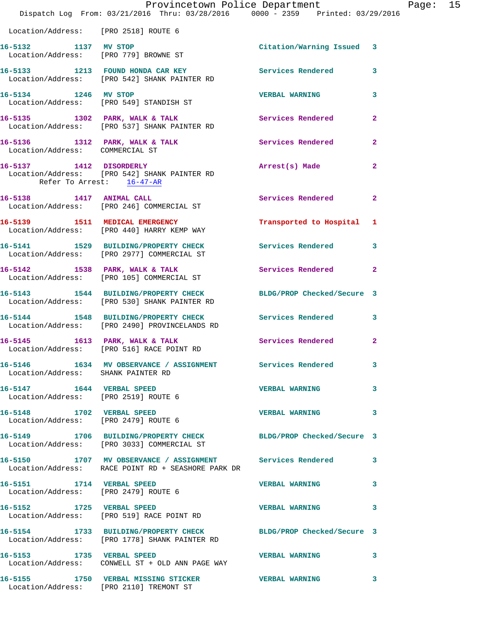|                                                                   | Provincetown Police Department Page: 15<br>Dispatch Log From: 03/21/2016 Thru: 03/28/2016 0000 - 2359 Printed: 03/29/2016 |                           |                |  |
|-------------------------------------------------------------------|---------------------------------------------------------------------------------------------------------------------------|---------------------------|----------------|--|
| Location/Address: [PRO 2518] ROUTE 6                              |                                                                                                                           |                           |                |  |
| 16-5132 1137 MV STOP                                              | Location/Address: [PRO 779] BROWNE ST                                                                                     | Citation/Warning Issued 3 |                |  |
|                                                                   | 16-5133 1213 FOUND HONDA CAR KEY Services Rendered<br>Location/Address: [PRO 542] SHANK PAINTER RD                        |                           | 3              |  |
| 16-5134 1246 MV STOP                                              | Location/Address: [PRO 549] STANDISH ST                                                                                   | <b>VERBAL WARNING</b>     | 3              |  |
|                                                                   | 16-5135 1302 PARK, WALK & TALK (Services Rendered Location/Address: [PRO 537] SHANK PAINTER RD                            |                           | $\overline{2}$ |  |
| Location/Address: COMMERCIAL ST                                   | 16-5136 1312 PARK, WALK & TALK 1999 Services Rendered                                                                     |                           | $\mathbf{2}$   |  |
| Refer To Arrest: 16-47-AR                                         | 16-5137 1412 DISORDERLY<br>Location/Address: [PRO 542] SHANK PAINTER RD                                                   | Arrest(s) Made            | $\mathbf{2}$   |  |
|                                                                   | 16-5138 1417 ANIMAL CALL<br>Location/Address: [PRO 246] COMMERCIAL ST                                                     | <b>Services Rendered</b>  | $\overline{2}$ |  |
|                                                                   | 16-5139 1511 MEDICAL EMERGENCY<br>Location/Address: [PRO 440] HARRY KEMP WAY                                              | Transported to Hospital 1 |                |  |
|                                                                   | 16-5141 1529 BUILDING/PROPERTY CHECK Services Rendered<br>Location/Address: [PRO 2977] COMMERCIAL ST                      |                           | 3              |  |
|                                                                   | 16-5142 1538 PARK, WALK & TALK 1988 Services Rendered 2<br>Location/Address: [PRO 105] COMMERCIAL ST                      |                           |                |  |
|                                                                   | 16-5143 1544 BUILDING/PROPERTY CHECK BLDG/PROP Checked/Secure 3<br>Location/Address: [PRO 530] SHANK PAINTER RD           |                           |                |  |
|                                                                   | 16-5144 1548 BUILDING/PROPERTY CHECK Services Rendered 3<br>Location/Address: [PRO 2490] PROVINCELANDS RD                 |                           |                |  |
|                                                                   | 16-5145 1613 PARK, WALK & TALK (2008) Services Rendered 2<br>Location/Address: [PRO 516] RACE POINT RD                    |                           |                |  |
| Location/Address: SHANK PAINTER RD                                | 16-5146 1634 MV OBSERVANCE / ASSIGNMENT Services Rendered                                                                 |                           |                |  |
| 16-5147 1644 VERBAL SPEED<br>Location/Address: [PRO 2519] ROUTE 6 |                                                                                                                           | <b>VERBAL WARNING</b>     | 3              |  |
| 16-5148 1702 VERBAL SPEED<br>Location/Address: [PRO 2479] ROUTE 6 |                                                                                                                           | <b>VERBAL WARNING</b>     | 3              |  |
|                                                                   | 16-5149 1706 BUILDING/PROPERTY CHECK BLDG/PROP Checked/Secure 3<br>Location/Address: [PRO 3033] COMMERCIAL ST             |                           |                |  |
|                                                                   | 16-5150 1707 MV OBSERVANCE / ASSIGNMENT Services Rendered 3<br>Location/Address: RACE POINT RD + SEASHORE PARK DR         |                           |                |  |
| Location/Address: [PRO 2479] ROUTE 6                              | 16-5151 1714 VERBAL SPEED                                                                                                 | <b>VERBAL WARNING</b>     | 3              |  |
|                                                                   | 16-5152 1725 VERBAL SPEED<br>Location/Address: [PRO 519] RACE POINT RD                                                    | <b>VERBAL WARNING</b>     | 3              |  |
|                                                                   | 16-5154 1733 BUILDING/PROPERTY CHECK BLDG/PROP Checked/Secure 3<br>Location/Address: [PRO 1778] SHANK PAINTER RD          |                           |                |  |
| 16-5153 1735 VERBAL SPEED                                         | Location/Address: CONWELL ST + OLD ANN PAGE WAY                                                                           | <b>VERBAL WARNING</b>     | 3              |  |
|                                                                   |                                                                                                                           |                           | 3              |  |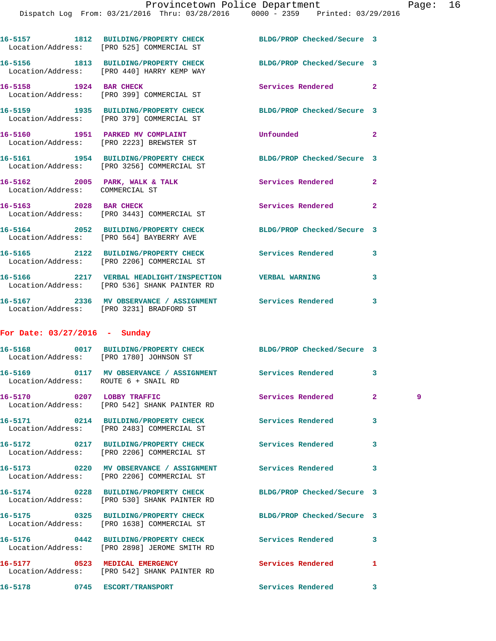|                                 | 16-5157 1812 BUILDING/PROPERTY CHECK<br>Location/Address: [PRO 525] COMMERCIAL ST                             | BLDG/PROP Checked/Secure 3 |                |    |
|---------------------------------|---------------------------------------------------------------------------------------------------------------|----------------------------|----------------|----|
|                                 | 16-5156 1813 BUILDING/PROPERTY CHECK BLDG/PROP Checked/Secure 3<br>Location/Address: [PRO 440] HARRY KEMP WAY |                            |                |    |
|                                 | 16-5158 1924 BAR CHECK<br>Location/Address: [PRO 399] COMMERCIAL ST                                           | Services Rendered          | $\overline{2}$ |    |
|                                 | 16-5159 1935 BUILDING/PROPERTY CHECK<br>Location/Address: [PRO 379] COMMERCIAL ST                             | BLDG/PROP Checked/Secure 3 |                |    |
|                                 | 16-5160 1951 PARKED MV COMPLAINT<br>Location/Address: [PRO 2223] BREWSTER ST                                  | Unfounded                  | $\mathbf{2}$   |    |
|                                 | 16-5161 1954 BUILDING/PROPERTY CHECK<br>Location/Address: [PRO 3256] COMMERCIAL ST                            | BLDG/PROP Checked/Secure 3 |                |    |
| Location/Address: COMMERCIAL ST | 16-5162 2005 PARK, WALK & TALK                                                                                | Services Rendered          | $\mathbf{2}$   |    |
|                                 | 16-5163 2028 BAR CHECK<br>Location/Address: [PRO 3443] COMMERCIAL ST                                          | Services Rendered          | $\mathbf{2}$   |    |
|                                 | 16-5164 2052 BUILDING/PROPERTY CHECK<br>Location/Address: [PRO 564] BAYBERRY AVE                              | BLDG/PROP Checked/Secure 3 |                |    |
|                                 | 16-5165 2122 BUILDING/PROPERTY CHECK<br>Location/Address: [PRO 2206] COMMERCIAL ST                            | Services Rendered          | 3              |    |
|                                 | 16-5166 2217 VERBAL HEADLIGHT/INSPECTION VERBAL WARNING<br>Location/Address: [PRO 536] SHANK PAINTER RD       |                            | 3              |    |
|                                 | 16-5167  2336 MV OBSERVANCE / ASSIGNMENT  Services Rendered<br>Location/Address: [PRO 3231] BRADFORD ST       |                            | 3              |    |
| For Date: $03/27/2016$ - Sunday |                                                                                                               |                            |                |    |
|                                 | 16-5168 0017 BUILDING/PROPERTY CHECK BLDG/PROP Checked/Secure 3<br>Location/Address: [PRO 1780] JOHNSON ST    |                            |                |    |
|                                 | 16-5169 0117 MV OBSERVANCE / ASSIGNMENT Services Rendered<br>Location/Address: ROUTE 6 + SNAIL RD             |                            | 3              |    |
| 16-5170 0207 LOBBY TRAFFIC      | Location/Address: [PRO 542] SHANK PAINTER RD                                                                  | Services Rendered          | $\mathbf{2}^-$ | 9. |
|                                 | 16-5171 0214 BUILDING/PROPERTY CHECK<br>Location/Address: [PRO 2483] COMMERCIAL ST                            | Services Rendered          | 3              |    |
|                                 | 16-5172 0217 BUILDING/PROPERTY CHECK<br>Location/Address: [PRO 2206] COMMERCIAL ST                            | Services Rendered          | 3              |    |
|                                 | Location/Address: [PRO 2206] COMMERCIAL ST                                                                    | <b>Services Rendered</b>   | 3              |    |
|                                 | 16-5174 0228 BUILDING/PROPERTY CHECK<br>Location/Address: [PRO 530] SHANK PAINTER RD                          | BLDG/PROP Checked/Secure 3 |                |    |
|                                 | 16-5175 0325 BUILDING/PROPERTY CHECK<br>Location/Address: [PRO 1638] COMMERCIAL ST                            | BLDG/PROP Checked/Secure 3 |                |    |
|                                 | 16-5176 0442 BUILDING/PROPERTY CHECK Services Rendered<br>Location/Address: [PRO 2898] JEROME SMITH RD        |                            | 3              |    |
|                                 | 16-5177 0523 MEDICAL EMERGENCY<br>Location/Address: [PRO 542] SHANK PAINTER RD                                | Services Rendered          | 1              |    |
|                                 | 16-5178 0745 ESCORT/TRANSPORT                                                                                 | Services Rendered          | 3              |    |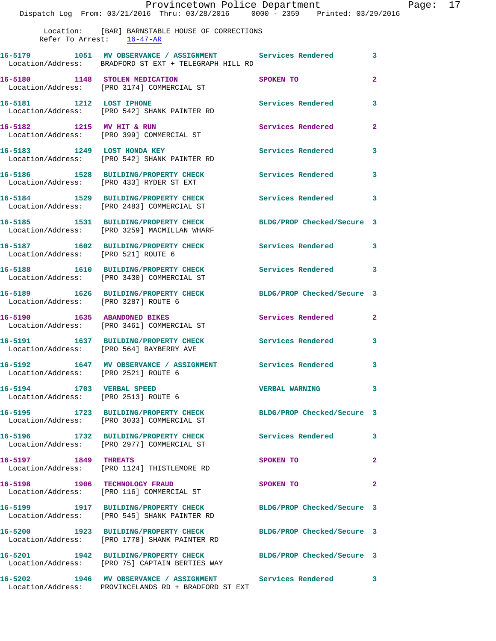Location: [BAR] BARNSTABLE HOUSE OF CORRECTIONS Refer To Arrest: 16-47-AR

|                                                                   | 16-5179 1051 MV OBSERVANCE / ASSIGNMENT Services Rendered<br>Location/Address: BRADFORD ST EXT + TELEGRAPH HILL RD |                            | 3              |
|-------------------------------------------------------------------|--------------------------------------------------------------------------------------------------------------------|----------------------------|----------------|
| 16-5180 1148 STOLEN MEDICATION                                    | Location/Address: [PRO 3174] COMMERCIAL ST                                                                         | SPOKEN TO                  | $\overline{2}$ |
|                                                                   | 16-5181 1212 LOST IPHONE<br>Location/Address: [PRO 542] SHANK PAINTER RD                                           | Services Rendered          | 3              |
| 16-5182 1215 MV HIT & RUN                                         | Location/Address: [PRO 399] COMMERCIAL ST                                                                          | Services Rendered          | $\overline{a}$ |
|                                                                   | 16-5183 1249 LOST HONDA KEY<br>Location/Address: [PRO 542] SHANK PAINTER RD                                        | Services Rendered          | 3              |
|                                                                   | 16-5186 1528 BUILDING/PROPERTY CHECK<br>Location/Address: [PRO 433] RYDER ST EXT                                   | Services Rendered          | 3              |
|                                                                   | 16-5184 1529 BUILDING/PROPERTY CHECK<br>Location/Address: [PRO 2483] COMMERCIAL ST                                 | Services Rendered          | 3              |
|                                                                   | 16-5185 1531 BUILDING/PROPERTY CHECK<br>Location/Address: [PRO 3259] MACMILLAN WHARF                               | BLDG/PROP Checked/Secure 3 |                |
| Location/Address: [PRO 521] ROUTE 6                               | 16-5187 1602 BUILDING/PROPERTY CHECK                                                                               | Services Rendered          | 3              |
|                                                                   | 16-5188 1610 BUILDING/PROPERTY CHECK<br>Location/Address: [PRO 3430] COMMERCIAL ST                                 | <b>Services Rendered</b>   | 3              |
| Location/Address: [PRO 3287] ROUTE 6                              | 16-5189 1626 BUILDING/PROPERTY CHECK                                                                               | BLDG/PROP Checked/Secure 3 |                |
|                                                                   | 16-5190 1635 ABANDONED BIKES<br>Location/Address: [PRO 3461] COMMERCIAL ST                                         | Services Rendered          | $\overline{2}$ |
|                                                                   | 16-5191 1637 BUILDING/PROPERTY CHECK<br>Location/Address: [PRO 564] BAYBERRY AVE                                   | Services Rendered          | 3              |
| Location/Address: [PRO 2521] ROUTE 6                              | 16-5192 1647 MV OBSERVANCE / ASSIGNMENT Services Rendered                                                          |                            | 3              |
| 16-5194 1703 VERBAL SPEED<br>Location/Address: [PRO 2513] ROUTE 6 |                                                                                                                    | <b>VERBAL WARNING</b>      | 3              |
|                                                                   | 16-5195 1723 BUILDING/PROPERTY CHECK<br>Location/Address: [PRO 3033] COMMERCIAL ST                                 | BLDG/PROP Checked/Secure 3 |                |
| 16-5196                                                           | 1732 BUILDING/PROPERTY CHECK<br>Location/Address: [PRO 2977] COMMERCIAL ST                                         | <b>Services Rendered</b>   | 3              |
| 16-5197 1849 THREATS                                              | Location/Address: [PRO 1124] THISTLEMORE RD                                                                        | SPOKEN TO                  | $\mathbf{2}$   |
| 16-5198                                                           | 1906 TECHNOLOGY FRAUD<br>Location/Address: [PRO 116] COMMERCIAL ST                                                 | SPOKEN TO                  | $\mathbf{2}$   |
|                                                                   | 16-5199 1917 BUILDING/PROPERTY CHECK<br>Location/Address: [PRO 545] SHANK PAINTER RD                               | BLDG/PROP Checked/Secure 3 |                |
| 16-5200                                                           | 1923 BUILDING/PROPERTY CHECK<br>Location/Address: [PRO 1778] SHANK PAINTER RD                                      | BLDG/PROP Checked/Secure 3 |                |
|                                                                   | 16-5201 1942 BUILDING/PROPERTY CHECK<br>Location/Address: [PRO 75] CAPTAIN BERTIES WAY                             | BLDG/PROP Checked/Secure 3 |                |
| 16-5202                                                           | 1946 MV OBSERVANCE / ASSIGNMENT                                                                                    | Services Rendered 3        |                |

Location/Address: PROVINCELANDS RD + BRADFORD ST EXT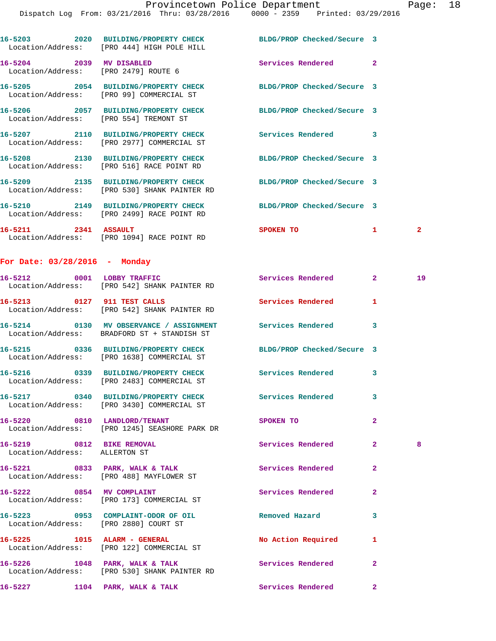|                                                            | 16-5203 2020 BUILDING/PROPERTY CHECK BLDG/PROP Checked/Secure 3<br>Location/Address: [PRO 444] HIGH POLE HILL |                               |                |                |
|------------------------------------------------------------|---------------------------------------------------------------------------------------------------------------|-------------------------------|----------------|----------------|
|                                                            | 16-5204 2039 MV DISABLED<br>Location/Address: [PRO 2479] ROUTE 6                                              | Services Rendered 2           |                |                |
|                                                            | 16-5205 2054 BUILDING/PROPERTY CHECK<br>Location/Address: [PRO 99] COMMERCIAL ST                              | BLDG/PROP Checked/Secure 3    |                |                |
|                                                            | 16-5206 2057 BUILDING/PROPERTY CHECK BLDG/PROP Checked/Secure 3<br>Location/Address: [PRO 554] TREMONT ST     |                               |                |                |
|                                                            | 16-5207 2110 BUILDING/PROPERTY CHECK<br>Location/Address: [PRO 2977] COMMERCIAL ST                            | Services Rendered 3           |                |                |
|                                                            | 16-5208 2130 BUILDING/PROPERTY CHECK<br>Location/Address: [PRO 516] RACE POINT RD                             | BLDG/PROP Checked/Secure 3    |                |                |
|                                                            | 16-5209 2135 BUILDING/PROPERTY CHECK<br>Location/Address: [PRO 530] SHANK PAINTER RD                          | BLDG/PROP Checked/Secure 3    |                |                |
|                                                            | 16-5210 2149 BUILDING/PROPERTY CHECK<br>Location/Address: [PRO 2499] RACE POINT RD                            | BLDG/PROP Checked/Secure 3    |                |                |
| 16-5211 2341 ASSAULT                                       | Location/Address: [PRO 1094] RACE POINT RD                                                                    | <b>SPOKEN TO</b>              | $\mathbf{1}$   | $\overline{2}$ |
| For Date: $03/28/2016$ - Monday                            |                                                                                                               |                               |                |                |
|                                                            | 16-5212 0001 LOBBY TRAFFIC<br>Location/Address: [PRO 542] SHANK PAINTER RD                                    | <b>Services Rendered 22 2</b> |                | 19             |
|                                                            | 16-5213 0127 911 TEST CALLS<br>Location/Address: [PRO 542] SHANK PAINTER RD                                   | Services Rendered             | 1              |                |
|                                                            | 16-5214 0130 MV OBSERVANCE / ASSIGNMENT Services Rendered 3<br>Location/Address: BRADFORD ST + STANDISH ST    |                               |                |                |
|                                                            | 16-5215 0336 BUILDING/PROPERTY CHECK<br>Location/Address: [PRO 1638] COMMERCIAL ST                            | BLDG/PROP Checked/Secure 3    |                |                |
|                                                            | 16-5216 0339 BUILDING/PROPERTY CHECK<br>Location/Address: [PRO 2483] COMMERCIAL ST                            | Services Rendered 3           |                |                |
|                                                            | 16-5217 0340 BUILDING/PROPERTY CHECK Services Rendered<br>Location/Address: [PRO 3430] COMMERCIAL ST          |                               | 3              |                |
|                                                            | 16-5220 0810 LANDLORD/TENANT<br>Location/Address: [PRO 1245] SEASHORE PARK DR                                 | SPOKEN TO                     | $\mathbf{2}$   |                |
| 16-5219 0812 BIKE REMOVAL<br>Location/Address: ALLERTON ST |                                                                                                               | Services Rendered             | $\mathbf{2}$   | 8              |
|                                                            | 16-5221 0833 PARK, WALK & TALK<br>Location/Address: [PRO 488] MAYFLOWER ST                                    | <b>Services Rendered</b>      | $\mathbf{2}$   |                |
|                                                            | 16-5222 0854 MV COMPLAINT<br>Location/Address: [PRO 173] COMMERCIAL ST                                        | Services Rendered             | $\mathbf{2}$   |                |
|                                                            | 16-5223 0953 COMPLAINT-ODOR OF OIL<br>Location/Address: [PRO 2880] COURT ST                                   | Removed Hazard                | 3              |                |
|                                                            | 16-5225 1015 ALARM - GENERAL<br>Location/Address: [PRO 122] COMMERCIAL ST                                     | No Action Required            | 1              |                |
|                                                            | $16-5226$ 1048 PARK, WALK & TALK<br>Location/Address: [PRO 530] SHANK PAINTER RD                              | Services Rendered             | $\overline{2}$ |                |
|                                                            | 16-5227 1104 PARK, WALK & TALK 1999 Services Rendered                                                         |                               | $\mathbf{2}$   |                |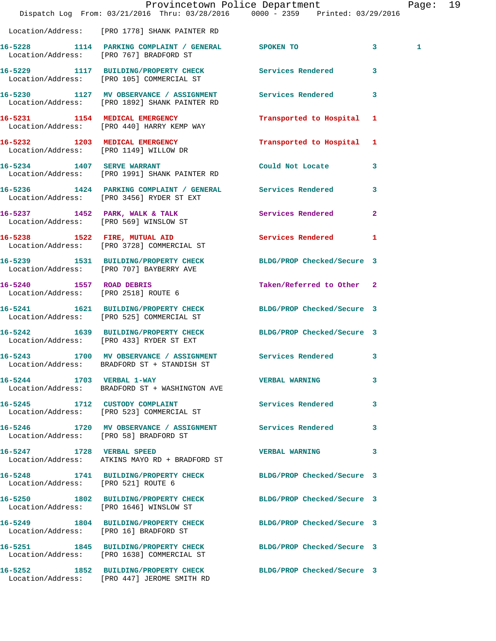|                                        |                                                                                                         | Provincetown Police Department<br>Dispatch Log From: 03/21/2016 Thru: 03/28/2016 0000 - 2359 Printed: 03/29/2016 | Page: 19 |  |
|----------------------------------------|---------------------------------------------------------------------------------------------------------|------------------------------------------------------------------------------------------------------------------|----------|--|
|                                        | Location/Address: [PRO 1778] SHANK PAINTER RD                                                           |                                                                                                                  |          |  |
|                                        | 16-5228 1114 PARKING COMPLAINT / GENERAL SPOKEN TO<br>Location/Address: [PRO 767] BRADFORD ST           | $\overline{\mathbf{3}}$                                                                                          | 1        |  |
|                                        | Location/Address: [PRO 105] COMMERCIAL ST                                                               | 16-5229 1117 BUILDING/PROPERTY CHECK Services Rendered 3                                                         |          |  |
|                                        | Location/Address: [PRO 1892] SHANK PAINTER RD                                                           | 16-5230 1127 MV OBSERVANCE / ASSIGNMENT Services Rendered 3                                                      |          |  |
|                                        | 16-5231 1154 MEDICAL EMERGENCY<br>Location/Address: [PRO 440] HARRY KEMP WAY                            | Transported to Hospital 1                                                                                        |          |  |
|                                        | 16-5232 1203 MEDICAL EMERGENCY<br>Location/Address: [PRO 1149] WILLOW DR                                | Transported to Hospital 1                                                                                        |          |  |
|                                        | 16-5234 1407 SERVE WARRANT<br>Location/Address: [PRO 1991] SHANK PAINTER RD                             | Could Not Locate<br>$\mathbf{3}$                                                                                 |          |  |
|                                        | 16-5236 1424 PARKING COMPLAINT / GENERAL Services Rendered<br>Location/Address: [PRO 3456] RYDER ST EXT | $\mathbf{3}$                                                                                                     |          |  |
|                                        | Location/Address: [PRO 569] WINSLOW ST                                                                  | 16-5237 1452 PARK, WALK & TALK 1999 Services Rendered 2                                                          |          |  |
|                                        | 16-5238 1522 FIRE, MUTUAL AID<br>Location/Address: [PRO 3728] COMMERCIAL ST                             | Services Rendered 1                                                                                              |          |  |
|                                        | Location/Address: [PRO 707] BAYBERRY AVE                                                                | 16-5239 1531 BUILDING/PROPERTY CHECK BLDG/PROP Checked/Secure 3                                                  |          |  |
| Location/Address: [PRO 2518] ROUTE 6   | 16-5240 1557 ROAD DEBRIS                                                                                | Taken/Referred to Other 2                                                                                        |          |  |
|                                        | Location/Address: [PRO 525] COMMERCIAL ST                                                               | 16-5241 1621 BUILDING/PROPERTY CHECK BLDG/PROP Checked/Secure 3                                                  |          |  |
|                                        | Location/Address: [PRO 433] RYDER ST EXT                                                                | 16-5242 1639 BUILDING/PROPERTY CHECK BLDG/PROP Checked/Secure 3                                                  |          |  |
| $16 - 5243$                            | Location/Address: BRADFORD ST + STANDISH ST                                                             | 1700 MV OBSERVANCE / ASSIGNMENT Services Rendered 3                                                              |          |  |
|                                        | 16-5244 1703 VERBAL 1-WAY<br>Location/Address: BRADFORD ST + WASHINGTON AVE                             | <b>VERBAL WARNING</b><br>3                                                                                       |          |  |
|                                        | 16-5245 1712 CUSTODY COMPLAINT<br>Location/Address: [PRO 523] COMMERCIAL ST                             | <b>Services Rendered</b><br>3                                                                                    |          |  |
| Location/Address: [PRO 58] BRADFORD ST | 16-5246 1720 MV OBSERVANCE / ASSIGNMENT Services Rendered                                               | 3                                                                                                                |          |  |
| 16-5247 1728 VERBAL SPEED              | Location/Address: ATKINS MAYO RD + BRADFORD ST                                                          | <b>VERBAL WARNING</b><br>$\mathbf{3}$                                                                            |          |  |
| Location/Address: [PRO 521] ROUTE 6    |                                                                                                         | 16-5248 1741 BUILDING/PROPERTY CHECK BLDG/PROP Checked/Secure 3                                                  |          |  |
|                                        | Location/Address: [PRO 1646] WINSLOW ST                                                                 | 16-5250 1802 BUILDING/PROPERTY CHECK BLDG/PROP Checked/Secure 3                                                  |          |  |
|                                        | Location/Address: [PRO 16] BRADFORD ST                                                                  | 16-5249 1804 BUILDING/PROPERTY CHECK BLDG/PROP Checked/Secure 3                                                  |          |  |
|                                        | Location/Address: [PRO 1638] COMMERCIAL ST                                                              | 16-5251 1845 BUILDING/PROPERTY CHECK BLDG/PROP Checked/Secure 3                                                  |          |  |
|                                        | Location/Address: [PRO 447] JEROME SMITH RD                                                             | 16-5252 1852 BUILDING/PROPERTY CHECK BLDG/PROP Checked/Secure 3                                                  |          |  |